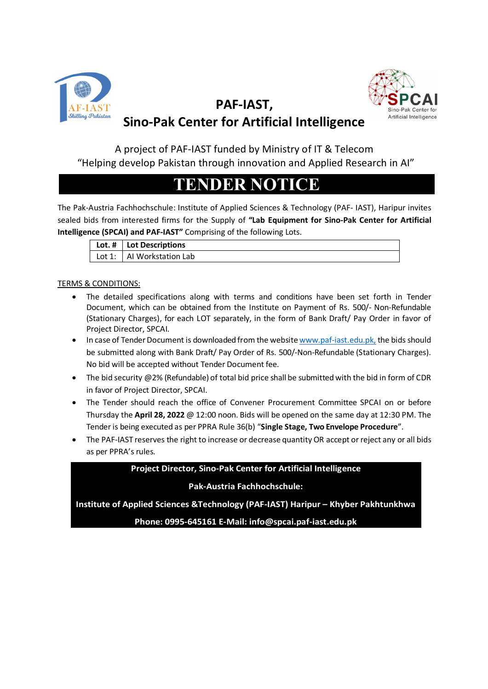

# Artificial Intelligence

## $\frac{\text{AF-IAST}}{\text{Stilling } \text{Pakistan}}$  PAF-IAST, Sino-Pak Center for Artificial Intelligence

A project of PAF-IAST funded by Ministry of IT & Telecom "Helping develop Pakistan through innovation and Applied Research in AI"

## TENDER NOTICE

The Pak-Austria Fachhochschule: Institute of Applied Sciences & Technology (PAF- IAST), Haripur invites sealed bids from interested firms for the Supply of "Lab Equipment for Sino-Pak Center for Artificial Intelligence (SPCAI) and PAF-IAST" Comprising of the following Lots.

|  | $\vert$ Lot. # $\vert$ Lot Descriptions |
|--|-----------------------------------------|
|  | Lot 1:   Al Workstation Lab             |

#### TERMS & CONDITIONS:

- The detailed specifications along with terms and conditions have been set forth in Tender Document, which can be obtained from the Institute on Payment of Rs. 500/- Non-Refundable (Stationary Charges), for each LOT separately, in the form of Bank Draft/ Pay Order in favor of Project Director, SPCAI.
- In case of Tender Document is downloaded from the website www.paf-iast.edu.pk, the bids should be submitted along with Bank Draft/ Pay Order of Rs. 500/-Non-Refundable (Stationary Charges). No bid will be accepted without Tender Document fee.
- The bid security @2% (Refundable) of total bid price shall be submitted with the bid in form of CDR in favor of Project Director, SPCAI.
- The Tender should reach the office of Convener Procurement Committee SPCAI on or before Thursday the April 28, 2022 @ 12:00 noon. Bids will be opened on the same day at 12:30 PM. The Tender is being executed as per PPRA Rule 36(b) "Single Stage, Two Envelope Procedure".
- The PAF-IAST reserves the right to increase or decrease quantity OR accept or reject any or all bids as per PPRA's rules.

## Project Director, Sino-Pak Center for Artificial Intelligence

## Pak-Austria Fachhochschule:

Institute of Applied Sciences &Technology (PAF-IAST) Haripur – Khyber Pakhtunkhwa

Phone: 0995-645161 E-Mail: info@spcai.paf-iast.edu.pk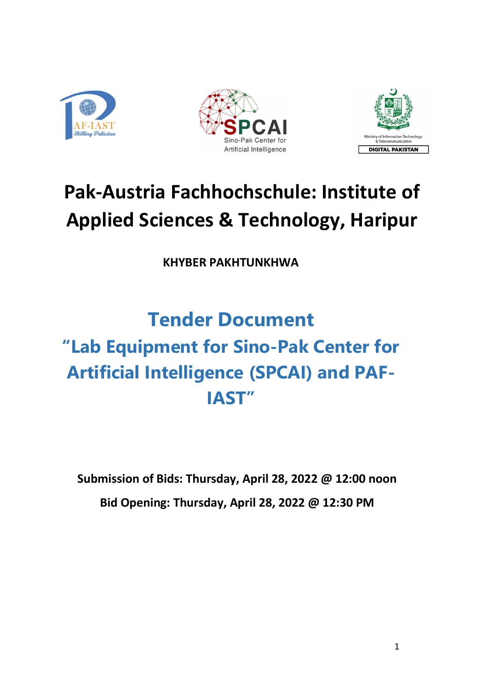





# Pak-Austria Fachhochschule: Institute of Applied Sciences & Technology, Haripur

KHYBER PAKHTUNKHWA

## Tender Document "Lab Equipment for Sino-Pak Center for Artificial Intelligence (SPCAI) and PAF-IAST"

Submission of Bids: Thursday, April 28, 2022 @ 12:00 noon Bid Opening: Thursday, April 28, 2022 @ 12:30 PM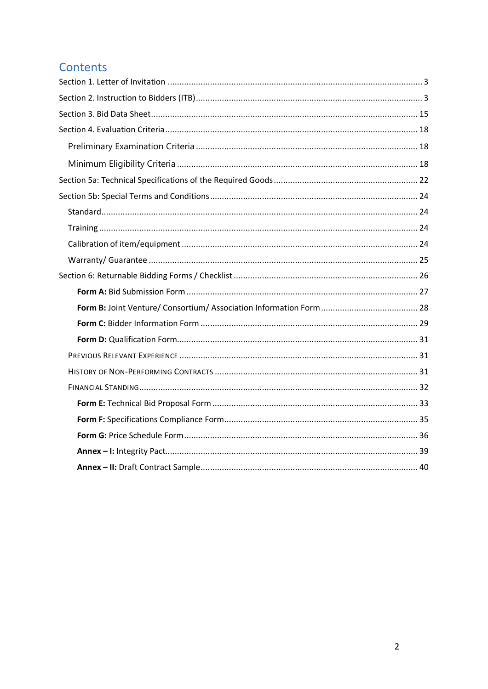## Contents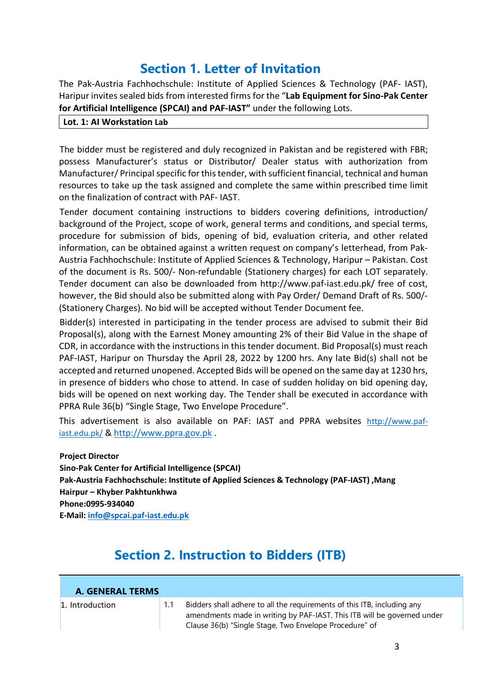## Section 1. Letter of Invitation

The Pak-Austria Fachhochschule: Institute of Applied Sciences & Technology (PAF- IAST), Haripur invites sealed bids from interested firms for the "Lab Equipment for Sino-Pak Center for Artificial Intelligence (SPCAI) and PAF-IAST" under the following Lots.

#### Lot. 1: AI Workstation Lab

The bidder must be registered and duly recognized in Pakistan and be registered with FBR; possess Manufacturer's status or Distributor/ Dealer status with authorization from Manufacturer/ Principal specific for this tender, with sufficient financial, technical and human resources to take up the task assigned and complete the same within prescribed time limit on the finalization of contract with PAF- IAST.

Tender document containing instructions to bidders covering definitions, introduction/ background of the Project, scope of work, general terms and conditions, and special terms, procedure for submission of bids, opening of bid, evaluation criteria, and other related information, can be obtained against a written request on company's letterhead, from Pak-Austria Fachhochschule: Institute of Applied Sciences & Technology, Haripur – Pakistan. Cost of the document is Rs. 500/- Non-refundable (Stationery charges) for each LOT separately. Tender document can also be downloaded from http://www.paf-iast.edu.pk/ free of cost, however, the Bid should also be submitted along with Pay Order/ Demand Draft of Rs. 500/- (Stationery Charges). No bid will be accepted without Tender Document fee.

Bidder(s) interested in participating in the tender process are advised to submit their Bid Proposal(s), along with the Earnest Money amounting 2% of their Bid Value in the shape of CDR, in accordance with the instructions in this tender document. Bid Proposal(s) must reach PAF-IAST, Haripur on Thursday the April 28, 2022 by 1200 hrs. Any late Bid(s) shall not be accepted and returned unopened. Accepted Bids will be opened on the same day at 1230 hrs, in presence of bidders who chose to attend. In case of sudden holiday on bid opening day, bids will be opened on next working day. The Tender shall be executed in accordance with PPRA Rule 36(b) "Single Stage, Two Envelope Procedure".

This advertisement is also available on PAF: IAST and PPRA websites http://www.pafiast.edu.pk/ & http://www.ppra.gov.pk.

Project Director Sino-Pak Center for Artificial Intelligence (SPCAI) Pak-Austria Fachhochschule: Institute of Applied Sciences & Technology (PAF-IAST) ,Mang Hairpur – Khyber Pakhtunkhwa Phone:0995-934040 E-Mail: info@spcai.paf-iast.edu.pk

## Section 2. Instruction to Bidders (ITB)

| <b>A. GENERAL TERMS</b> |  |                                                                                                                                                                                                              |  |
|-------------------------|--|--------------------------------------------------------------------------------------------------------------------------------------------------------------------------------------------------------------|--|
| 1. Introduction         |  | Bidders shall adhere to all the requirements of this ITB, including any<br>amendments made in writing by PAF-IAST. This ITB will be governed under<br>Clause 36(b) "Single Stage, Two Envelope Procedure" of |  |

l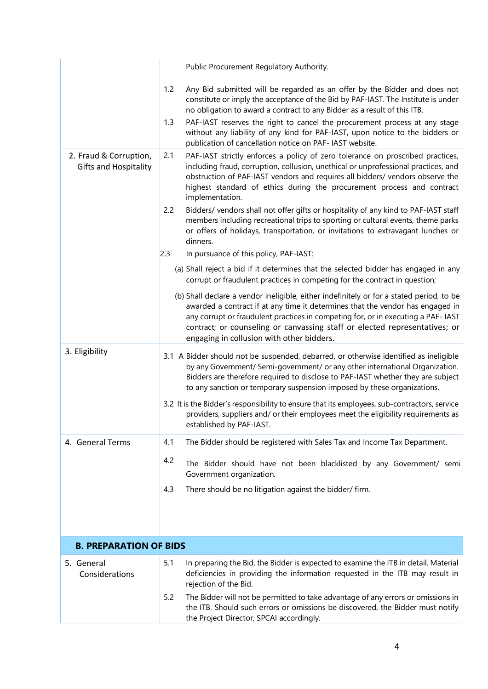|                                                        | Public Procurement Regulatory Authority.                                                                                                                                                                                                                                                                                                                                                   |
|--------------------------------------------------------|--------------------------------------------------------------------------------------------------------------------------------------------------------------------------------------------------------------------------------------------------------------------------------------------------------------------------------------------------------------------------------------------|
|                                                        | Any Bid submitted will be regarded as an offer by the Bidder and does not<br>1.2<br>constitute or imply the acceptance of the Bid by PAF-IAST. The Institute is under<br>no obligation to award a contract to any Bidder as a result of this ITB.                                                                                                                                          |
|                                                        | PAF-IAST reserves the right to cancel the procurement process at any stage<br>1.3<br>without any liability of any kind for PAF-IAST, upon notice to the bidders or<br>publication of cancellation notice on PAF- IAST website.                                                                                                                                                             |
| 2. Fraud & Corruption,<br><b>Gifts and Hospitality</b> | 2.1<br>PAF-IAST strictly enforces a policy of zero tolerance on proscribed practices,<br>including fraud, corruption, collusion, unethical or unprofessional practices, and<br>obstruction of PAF-IAST vendors and requires all bidders/ vendors observe the<br>highest standard of ethics during the procurement process and contract<br>implementation.                                  |
|                                                        | 2.2<br>Bidders/vendors shall not offer gifts or hospitality of any kind to PAF-IAST staff<br>members including recreational trips to sporting or cultural events, theme parks<br>or offers of holidays, transportation, or invitations to extravagant lunches or<br>dinners.                                                                                                               |
|                                                        | 2.3<br>In pursuance of this policy, PAF-IAST:                                                                                                                                                                                                                                                                                                                                              |
|                                                        | (a) Shall reject a bid if it determines that the selected bidder has engaged in any<br>corrupt or fraudulent practices in competing for the contract in question;                                                                                                                                                                                                                          |
|                                                        | (b) Shall declare a vendor ineligible, either indefinitely or for a stated period, to be<br>awarded a contract if at any time it determines that the vendor has engaged in<br>any corrupt or fraudulent practices in competing for, or in executing a PAF- IAST<br>contract; or counseling or canvassing staff or elected representatives; or<br>engaging in collusion with other bidders. |
| 3. Eligibility                                         | 3.1 A Bidder should not be suspended, debarred, or otherwise identified as ineligible<br>by any Government/ Semi-government/ or any other international Organization.<br>Bidders are therefore required to disclose to PAF-IAST whether they are subject<br>to any sanction or temporary suspension imposed by these organizations.                                                        |
|                                                        | 3.2 It is the Bidder's responsibility to ensure that its employees, sub-contractors, service<br>providers, suppliers and/ or their employees meet the eligibility requirements as<br>established by PAF-IAST.                                                                                                                                                                              |
| 4. General Terms                                       | The Bidder should be registered with Sales Tax and Income Tax Department.<br>4.1                                                                                                                                                                                                                                                                                                           |
|                                                        | 4.2<br>The Bidder should have not been blacklisted by any Government/ semi<br>Government organization.                                                                                                                                                                                                                                                                                     |
|                                                        | 4.3<br>There should be no litigation against the bidder/ firm.                                                                                                                                                                                                                                                                                                                             |
|                                                        |                                                                                                                                                                                                                                                                                                                                                                                            |
| <b>B. PREPARATION OF BIDS</b>                          |                                                                                                                                                                                                                                                                                                                                                                                            |
| 5. General<br>Considerations                           | 5.1<br>In preparing the Bid, the Bidder is expected to examine the ITB in detail. Material<br>deficiencies in providing the information requested in the ITB may result in<br>rejection of the Bid.                                                                                                                                                                                        |
|                                                        | 5.2<br>The Bidder will not be permitted to take advantage of any errors or omissions in<br>the ITB. Should such errors or omissions be discovered, the Bidder must notify<br>the Project Director, SPCAI accordingly.                                                                                                                                                                      |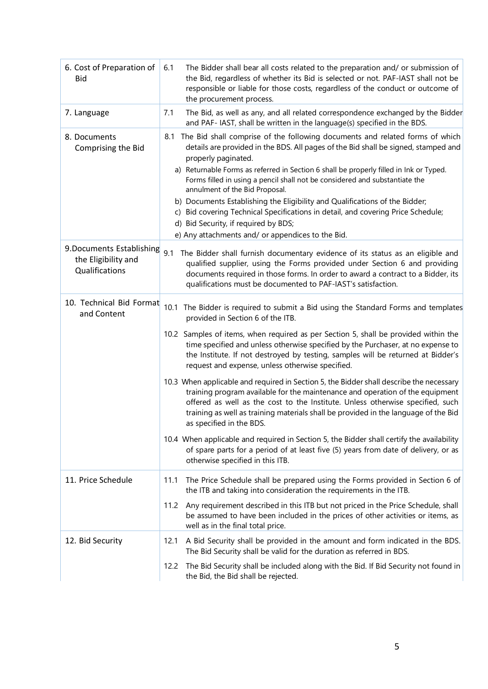| 6. Cost of Preparation of<br><b>Bid</b>                                | The Bidder shall bear all costs related to the preparation and/ or submission of<br>6.1<br>the Bid, regardless of whether its Bid is selected or not. PAF-IAST shall not be<br>responsible or liable for those costs, regardless of the conduct or outcome of<br>the procurement process.                                                                                                                                                                                                                                                                                                                                                                                                                                                                                                                                                                                                                                                                                                                                                           |
|------------------------------------------------------------------------|-----------------------------------------------------------------------------------------------------------------------------------------------------------------------------------------------------------------------------------------------------------------------------------------------------------------------------------------------------------------------------------------------------------------------------------------------------------------------------------------------------------------------------------------------------------------------------------------------------------------------------------------------------------------------------------------------------------------------------------------------------------------------------------------------------------------------------------------------------------------------------------------------------------------------------------------------------------------------------------------------------------------------------------------------------|
| 7. Language                                                            | The Bid, as well as any, and all related correspondence exchanged by the Bidder<br>7.1<br>and PAF- IAST, shall be written in the language(s) specified in the BDS.                                                                                                                                                                                                                                                                                                                                                                                                                                                                                                                                                                                                                                                                                                                                                                                                                                                                                  |
| 8. Documents<br>Comprising the Bid                                     | The Bid shall comprise of the following documents and related forms of which<br>8.1<br>details are provided in the BDS. All pages of the Bid shall be signed, stamped and<br>properly paginated.<br>a) Returnable Forms as referred in Section 6 shall be properly filled in Ink or Typed.<br>Forms filled in using a pencil shall not be considered and substantiate the<br>annulment of the Bid Proposal.<br>b) Documents Establishing the Eligibility and Qualifications of the Bidder;<br>c) Bid covering Technical Specifications in detail, and covering Price Schedule;<br>d) Bid Security, if required by BDS;<br>e) Any attachments and/ or appendices to the Bid.                                                                                                                                                                                                                                                                                                                                                                         |
| 9. Documents Establishing 9.1<br>the Eligibility and<br>Qualifications | The Bidder shall furnish documentary evidence of its status as an eligible and<br>qualified supplier, using the Forms provided under Section 6 and providing<br>documents required in those forms. In order to award a contract to a Bidder, its<br>qualifications must be documented to PAF-IAST's satisfaction.                                                                                                                                                                                                                                                                                                                                                                                                                                                                                                                                                                                                                                                                                                                                   |
| 10. Technical Bid Format<br>and Content                                | 10.1 The Bidder is required to submit a Bid using the Standard Forms and templates<br>provided in Section 6 of the ITB.<br>10.2 Samples of items, when required as per Section 5, shall be provided within the<br>time specified and unless otherwise specified by the Purchaser, at no expense to<br>the Institute. If not destroyed by testing, samples will be returned at Bidder's<br>request and expense, unless otherwise specified.<br>10.3 When applicable and required in Section 5, the Bidder shall describe the necessary<br>training program available for the maintenance and operation of the equipment<br>offered as well as the cost to the Institute. Unless otherwise specified, such<br>training as well as training materials shall be provided in the language of the Bid<br>as specified in the BDS.<br>10.4 When applicable and required in Section 5, the Bidder shall certify the availability<br>of spare parts for a period of at least five (5) years from date of delivery, or as<br>otherwise specified in this ITB. |
| 11. Price Schedule                                                     | The Price Schedule shall be prepared using the Forms provided in Section 6 of<br>11.1<br>the ITB and taking into consideration the requirements in the ITB.<br>11.2<br>Any requirement described in this ITB but not priced in the Price Schedule, shall<br>be assumed to have been included in the prices of other activities or items, as<br>well as in the final total price.                                                                                                                                                                                                                                                                                                                                                                                                                                                                                                                                                                                                                                                                    |
| 12. Bid Security                                                       | A Bid Security shall be provided in the amount and form indicated in the BDS.<br>12.1<br>The Bid Security shall be valid for the duration as referred in BDS.<br>12.2<br>The Bid Security shall be included along with the Bid. If Bid Security not found in<br>the Bid, the Bid shall be rejected.                                                                                                                                                                                                                                                                                                                                                                                                                                                                                                                                                                                                                                                                                                                                                 |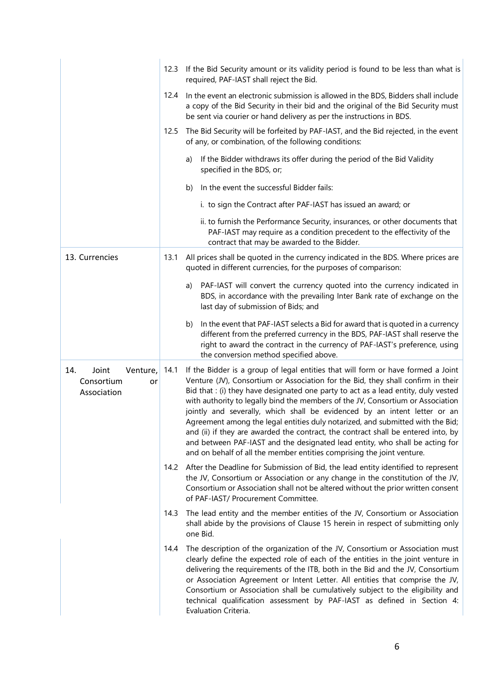|                                                             | 12.3 | If the Bid Security amount or its validity period is found to be less than what is<br>required, PAF-IAST shall reject the Bid.                                                                                                                                                                                                                                                                                                                                                                                                                                                                                                                                                                                                                              |  |  |
|-------------------------------------------------------------|------|-------------------------------------------------------------------------------------------------------------------------------------------------------------------------------------------------------------------------------------------------------------------------------------------------------------------------------------------------------------------------------------------------------------------------------------------------------------------------------------------------------------------------------------------------------------------------------------------------------------------------------------------------------------------------------------------------------------------------------------------------------------|--|--|
|                                                             | 12.4 | In the event an electronic submission is allowed in the BDS, Bidders shall include<br>a copy of the Bid Security in their bid and the original of the Bid Security must<br>be sent via courier or hand delivery as per the instructions in BDS.                                                                                                                                                                                                                                                                                                                                                                                                                                                                                                             |  |  |
|                                                             | 12.5 | The Bid Security will be forfeited by PAF-IAST, and the Bid rejected, in the event<br>of any, or combination, of the following conditions:                                                                                                                                                                                                                                                                                                                                                                                                                                                                                                                                                                                                                  |  |  |
|                                                             |      | If the Bidder withdraws its offer during the period of the Bid Validity<br>a)<br>specified in the BDS, or;                                                                                                                                                                                                                                                                                                                                                                                                                                                                                                                                                                                                                                                  |  |  |
|                                                             |      | In the event the successful Bidder fails:<br>b)                                                                                                                                                                                                                                                                                                                                                                                                                                                                                                                                                                                                                                                                                                             |  |  |
|                                                             |      | i. to sign the Contract after PAF-IAST has issued an award; or                                                                                                                                                                                                                                                                                                                                                                                                                                                                                                                                                                                                                                                                                              |  |  |
|                                                             |      | ii. to furnish the Performance Security, insurances, or other documents that<br>PAF-IAST may require as a condition precedent to the effectivity of the<br>contract that may be awarded to the Bidder.                                                                                                                                                                                                                                                                                                                                                                                                                                                                                                                                                      |  |  |
| 13. Currencies                                              | 13.1 | All prices shall be quoted in the currency indicated in the BDS. Where prices are<br>quoted in different currencies, for the purposes of comparison:                                                                                                                                                                                                                                                                                                                                                                                                                                                                                                                                                                                                        |  |  |
|                                                             |      | PAF-IAST will convert the currency quoted into the currency indicated in<br>a)<br>BDS, in accordance with the prevailing Inter Bank rate of exchange on the<br>last day of submission of Bids; and                                                                                                                                                                                                                                                                                                                                                                                                                                                                                                                                                          |  |  |
|                                                             |      | In the event that PAF-IAST selects a Bid for award that is quoted in a currency<br>b)<br>different from the preferred currency in the BDS, PAF-IAST shall reserve the<br>right to award the contract in the currency of PAF-IAST's preference, using<br>the conversion method specified above.                                                                                                                                                                                                                                                                                                                                                                                                                                                              |  |  |
| Joint<br>14.<br>Venture,<br>Consortium<br>or<br>Association | 14.1 | If the Bidder is a group of legal entities that will form or have formed a Joint<br>Venture (JV), Consortium or Association for the Bid, they shall confirm in their<br>Bid that : (i) they have designated one party to act as a lead entity, duly vested<br>with authority to legally bind the members of the JV, Consortium or Association<br>jointly and severally, which shall be evidenced by an intent letter or an<br>Agreement among the legal entities duly notarized, and submitted with the Bid;<br>and (ii) if they are awarded the contract, the contract shall be entered into, by<br>and between PAF-IAST and the designated lead entity, who shall be acting for<br>and on behalf of all the member entities comprising the joint venture. |  |  |
|                                                             |      | 14.2 After the Deadline for Submission of Bid, the lead entity identified to represent<br>the JV, Consortium or Association or any change in the constitution of the JV,<br>Consortium or Association shall not be altered without the prior written consent<br>of PAF-IAST/ Procurement Committee.                                                                                                                                                                                                                                                                                                                                                                                                                                                         |  |  |
|                                                             | 14.3 | The lead entity and the member entities of the JV, Consortium or Association<br>shall abide by the provisions of Clause 15 herein in respect of submitting only<br>one Bid.                                                                                                                                                                                                                                                                                                                                                                                                                                                                                                                                                                                 |  |  |
|                                                             | 14.4 | The description of the organization of the JV, Consortium or Association must<br>clearly define the expected role of each of the entities in the joint venture in<br>delivering the requirements of the ITB, both in the Bid and the JV, Consortium<br>or Association Agreement or Intent Letter. All entities that comprise the JV,<br>Consortium or Association shall be cumulatively subject to the eligibility and<br>technical qualification assessment by PAF-IAST as defined in Section 4:<br>Evaluation Criteria.                                                                                                                                                                                                                                   |  |  |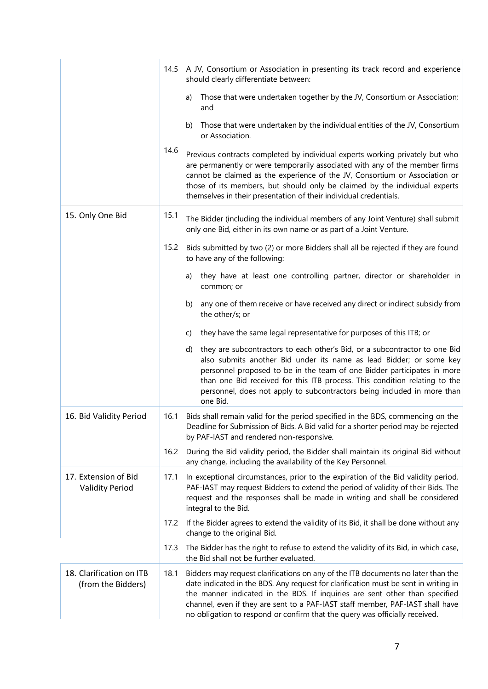|                                                |                                                                                                                                                                                                                                                                                     | 14.5 A JV, Consortium or Association in presenting its track record and experience<br>should clearly differentiate between:                                                                                                                                                                                                                                                                                             |
|------------------------------------------------|-------------------------------------------------------------------------------------------------------------------------------------------------------------------------------------------------------------------------------------------------------------------------------------|-------------------------------------------------------------------------------------------------------------------------------------------------------------------------------------------------------------------------------------------------------------------------------------------------------------------------------------------------------------------------------------------------------------------------|
|                                                |                                                                                                                                                                                                                                                                                     | Those that were undertaken together by the JV, Consortium or Association;<br>a)<br>and                                                                                                                                                                                                                                                                                                                                  |
|                                                |                                                                                                                                                                                                                                                                                     | Those that were undertaken by the individual entities of the JV, Consortium<br>b)<br>or Association.                                                                                                                                                                                                                                                                                                                    |
|                                                | 14.6                                                                                                                                                                                                                                                                                | Previous contracts completed by individual experts working privately but who<br>are permanently or were temporarily associated with any of the member firms<br>cannot be claimed as the experience of the JV, Consortium or Association or<br>those of its members, but should only be claimed by the individual experts<br>themselves in their presentation of their individual credentials.                           |
| 15. Only One Bid                               | 15.1                                                                                                                                                                                                                                                                                | The Bidder (including the individual members of any Joint Venture) shall submit<br>only one Bid, either in its own name or as part of a Joint Venture.                                                                                                                                                                                                                                                                  |
|                                                | 15.2                                                                                                                                                                                                                                                                                | Bids submitted by two (2) or more Bidders shall all be rejected if they are found<br>to have any of the following:                                                                                                                                                                                                                                                                                                      |
|                                                |                                                                                                                                                                                                                                                                                     | they have at least one controlling partner, director or shareholder in<br>a)<br>common; or                                                                                                                                                                                                                                                                                                                              |
|                                                |                                                                                                                                                                                                                                                                                     | any one of them receive or have received any direct or indirect subsidy from<br>b)<br>the other/s; or                                                                                                                                                                                                                                                                                                                   |
|                                                |                                                                                                                                                                                                                                                                                     | they have the same legal representative for purposes of this ITB; or<br>C)                                                                                                                                                                                                                                                                                                                                              |
|                                                |                                                                                                                                                                                                                                                                                     | they are subcontractors to each other's Bid, or a subcontractor to one Bid<br>d)<br>also submits another Bid under its name as lead Bidder; or some key<br>personnel proposed to be in the team of one Bidder participates in more<br>than one Bid received for this ITB process. This condition relating to the<br>personnel, does not apply to subcontractors being included in more than<br>one Bid.                 |
| 16. Bid Validity Period                        | 16.1                                                                                                                                                                                                                                                                                | Bids shall remain valid for the period specified in the BDS, commencing on the<br>Deadline for Submission of Bids. A Bid valid for a shorter period may be rejected<br>by PAF-IAST and rendered non-responsive.                                                                                                                                                                                                         |
|                                                | 16.2                                                                                                                                                                                                                                                                                | During the Bid validity period, the Bidder shall maintain its original Bid without<br>any change, including the availability of the Key Personnel.                                                                                                                                                                                                                                                                      |
| 17. Extension of Bid<br><b>Validity Period</b> | 17.1<br>In exceptional circumstances, prior to the expiration of the Bid validity period,<br>PAF-IAST may request Bidders to extend the period of validity of their Bids. The<br>request and the responses shall be made in writing and shall be considered<br>integral to the Bid. |                                                                                                                                                                                                                                                                                                                                                                                                                         |
|                                                | 17.2                                                                                                                                                                                                                                                                                | If the Bidder agrees to extend the validity of its Bid, it shall be done without any<br>change to the original Bid.                                                                                                                                                                                                                                                                                                     |
|                                                | 17.3                                                                                                                                                                                                                                                                                | The Bidder has the right to refuse to extend the validity of its Bid, in which case,<br>the Bid shall not be further evaluated.                                                                                                                                                                                                                                                                                         |
| 18. Clarification on ITB<br>(from the Bidders) | 18.1                                                                                                                                                                                                                                                                                | Bidders may request clarifications on any of the ITB documents no later than the<br>date indicated in the BDS. Any request for clarification must be sent in writing in<br>the manner indicated in the BDS. If inquiries are sent other than specified<br>channel, even if they are sent to a PAF-IAST staff member, PAF-IAST shall have<br>no obligation to respond or confirm that the query was officially received. |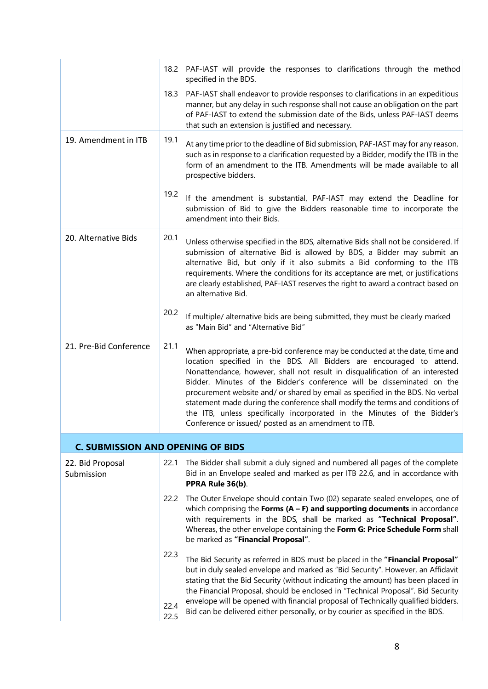|                                          |                      | 18.2 PAF-IAST will provide the responses to clarifications through the method<br>specified in the BDS.                                                                                                                                                                                                                                                                                                                                                                                                                                                                                                                  |
|------------------------------------------|----------------------|-------------------------------------------------------------------------------------------------------------------------------------------------------------------------------------------------------------------------------------------------------------------------------------------------------------------------------------------------------------------------------------------------------------------------------------------------------------------------------------------------------------------------------------------------------------------------------------------------------------------------|
|                                          |                      | 18.3 PAF-IAST shall endeavor to provide responses to clarifications in an expeditious<br>manner, but any delay in such response shall not cause an obligation on the part<br>of PAF-IAST to extend the submission date of the Bids, unless PAF-IAST deems<br>that such an extension is justified and necessary.                                                                                                                                                                                                                                                                                                         |
| 19. Amendment in ITB                     | 19.1                 | At any time prior to the deadline of Bid submission, PAF-IAST may for any reason,<br>such as in response to a clarification requested by a Bidder, modify the ITB in the<br>form of an amendment to the ITB. Amendments will be made available to all<br>prospective bidders.                                                                                                                                                                                                                                                                                                                                           |
|                                          | 19.2                 | If the amendment is substantial, PAF-IAST may extend the Deadline for<br>submission of Bid to give the Bidders reasonable time to incorporate the<br>amendment into their Bids.                                                                                                                                                                                                                                                                                                                                                                                                                                         |
| 20. Alternative Bids                     | 20.1                 | Unless otherwise specified in the BDS, alternative Bids shall not be considered. If<br>submission of alternative Bid is allowed by BDS, a Bidder may submit an<br>alternative Bid, but only if it also submits a Bid conforming to the ITB<br>requirements. Where the conditions for its acceptance are met, or justifications<br>are clearly established, PAF-IAST reserves the right to award a contract based on<br>an alternative Bid.                                                                                                                                                                              |
|                                          | 20.2                 | If multiple/ alternative bids are being submitted, they must be clearly marked<br>as "Main Bid" and "Alternative Bid"                                                                                                                                                                                                                                                                                                                                                                                                                                                                                                   |
| 21. Pre-Bid Conference                   | 21.1                 | When appropriate, a pre-bid conference may be conducted at the date, time and<br>location specified in the BDS. All Bidders are encouraged to attend.<br>Nonattendance, however, shall not result in disqualification of an interested<br>Bidder. Minutes of the Bidder's conference will be disseminated on the<br>procurement website and/ or shared by email as specified in the BDS. No verbal<br>statement made during the conference shall modify the terms and conditions of<br>the ITB, unless specifically incorporated in the Minutes of the Bidder's<br>Conference or issued/ posted as an amendment to ITB. |
| <b>C. SUBMISSION AND OPENING OF BIDS</b> |                      |                                                                                                                                                                                                                                                                                                                                                                                                                                                                                                                                                                                                                         |
| 22. Bid Proposal<br>Submission           | 22.1                 | The Bidder shall submit a duly signed and numbered all pages of the complete<br>Bid in an Envelope sealed and marked as per ITB 22.6, and in accordance with<br>PPRA Rule 36(b).                                                                                                                                                                                                                                                                                                                                                                                                                                        |
|                                          |                      | 22.2 The Outer Envelope should contain Two (02) separate sealed envelopes, one of<br>which comprising the Forms $(A - F)$ and supporting documents in accordance<br>with requirements in the BDS, shall be marked as "Technical Proposal".<br>Whereas, the other envelope containing the Form G: Price Schedule Form shall<br>be marked as "Financial Proposal".                                                                                                                                                                                                                                                        |
|                                          | 22.3<br>22.4<br>22.5 | The Bid Security as referred in BDS must be placed in the "Financial Proposal"<br>but in duly sealed envelope and marked as "Bid Security". However, an Affidavit<br>stating that the Bid Security (without indicating the amount) has been placed in<br>the Financial Proposal, should be enclosed in "Technical Proposal". Bid Security<br>envelope will be opened with financial proposal of Technically qualified bidders.<br>Bid can be delivered either personally, or by courier as specified in the BDS.                                                                                                        |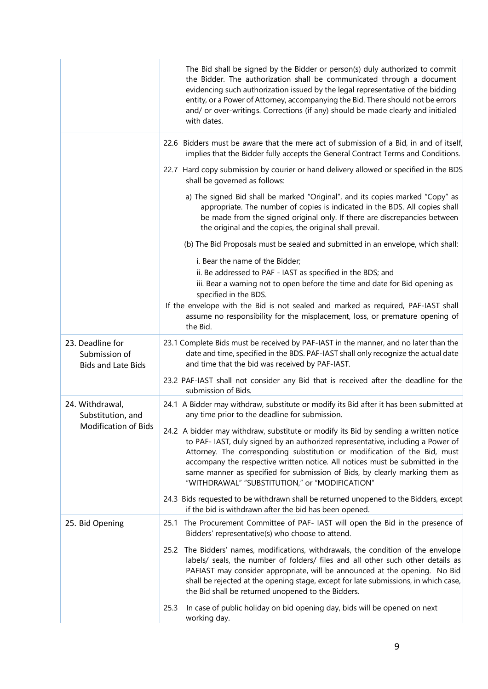|                                                                | The Bid shall be signed by the Bidder or person(s) duly authorized to commit<br>the Bidder. The authorization shall be communicated through a document<br>evidencing such authorization issued by the legal representative of the bidding<br>entity, or a Power of Attorney, accompanying the Bid. There should not be errors<br>and/ or over-writings. Corrections (if any) should be made clearly and initialed<br>with dates.                                       |  |  |
|----------------------------------------------------------------|------------------------------------------------------------------------------------------------------------------------------------------------------------------------------------------------------------------------------------------------------------------------------------------------------------------------------------------------------------------------------------------------------------------------------------------------------------------------|--|--|
|                                                                | 22.6 Bidders must be aware that the mere act of submission of a Bid, in and of itself,<br>implies that the Bidder fully accepts the General Contract Terms and Conditions.                                                                                                                                                                                                                                                                                             |  |  |
|                                                                | 22.7 Hard copy submission by courier or hand delivery allowed or specified in the BDS<br>shall be governed as follows:                                                                                                                                                                                                                                                                                                                                                 |  |  |
|                                                                | a) The signed Bid shall be marked "Original", and its copies marked "Copy" as<br>appropriate. The number of copies is indicated in the BDS. All copies shall<br>be made from the signed original only. If there are discrepancies between<br>the original and the copies, the original shall prevail.                                                                                                                                                                  |  |  |
|                                                                | (b) The Bid Proposals must be sealed and submitted in an envelope, which shall:                                                                                                                                                                                                                                                                                                                                                                                        |  |  |
|                                                                | i. Bear the name of the Bidder;                                                                                                                                                                                                                                                                                                                                                                                                                                        |  |  |
|                                                                | ii. Be addressed to PAF - IAST as specified in the BDS; and<br>iii. Bear a warning not to open before the time and date for Bid opening as<br>specified in the BDS.                                                                                                                                                                                                                                                                                                    |  |  |
|                                                                | If the envelope with the Bid is not sealed and marked as required, PAF-IAST shall<br>assume no responsibility for the misplacement, loss, or premature opening of<br>the Bid.                                                                                                                                                                                                                                                                                          |  |  |
| 23. Deadline for<br>Submission of<br><b>Bids and Late Bids</b> | 23.1 Complete Bids must be received by PAF-IAST in the manner, and no later than the<br>date and time, specified in the BDS. PAF-IAST shall only recognize the actual date<br>and time that the bid was received by PAF-IAST.                                                                                                                                                                                                                                          |  |  |
|                                                                | 23.2 PAF-IAST shall not consider any Bid that is received after the deadline for the<br>submission of Bids.                                                                                                                                                                                                                                                                                                                                                            |  |  |
| 24. Withdrawal,<br>Substitution, and                           | 24.1 A Bidder may withdraw, substitute or modify its Bid after it has been submitted at<br>any time prior to the deadline for submission.                                                                                                                                                                                                                                                                                                                              |  |  |
| <b>Modification of Bids</b>                                    | 24.2 A bidder may withdraw, substitute or modify its Bid by sending a written notice<br>to PAF- IAST, duly signed by an authorized representative, including a Power of<br>Attorney. The corresponding substitution or modification of the Bid, must<br>accompany the respective written notice. All notices must be submitted in the<br>same manner as specified for submission of Bids, by clearly marking them as<br>"WITHDRAWAL" "SUBSTITUTION," or "MODIFICATION" |  |  |
|                                                                | 24.3 Bids requested to be withdrawn shall be returned unopened to the Bidders, except<br>if the bid is withdrawn after the bid has been opened.                                                                                                                                                                                                                                                                                                                        |  |  |
| 25. Bid Opening                                                | The Procurement Committee of PAF- IAST will open the Bid in the presence of<br>25.1<br>Bidders' representative(s) who choose to attend.                                                                                                                                                                                                                                                                                                                                |  |  |
|                                                                | 25.2 The Bidders' names, modifications, withdrawals, the condition of the envelope<br>labels/ seals, the number of folders/ files and all other such other details as<br>PAFIAST may consider appropriate, will be announced at the opening. No Bid<br>shall be rejected at the opening stage, except for late submissions, in which case,<br>the Bid shall be returned unopened to the Bidders.                                                                       |  |  |
|                                                                | 25.3<br>In case of public holiday on bid opening day, bids will be opened on next<br>working day.                                                                                                                                                                                                                                                                                                                                                                      |  |  |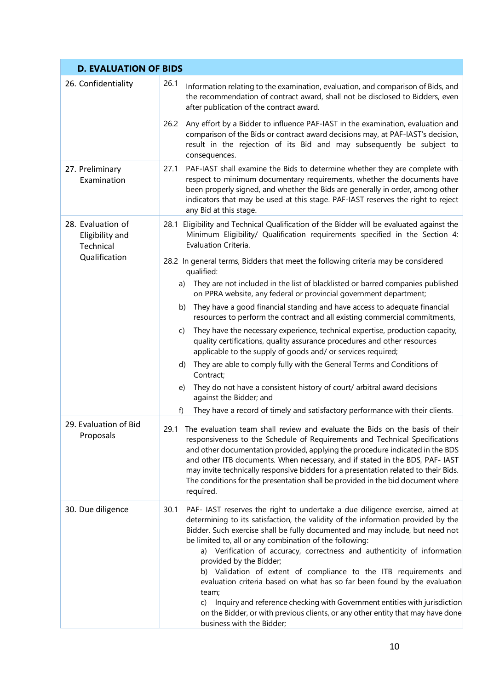| <b>D. EVALUATION OF BIDS</b>                             |                                                                                                                                                                                                                                                                                                                                                                                                                                                                                                                                                                                                                                                                                                                                                                                           |  |  |  |
|----------------------------------------------------------|-------------------------------------------------------------------------------------------------------------------------------------------------------------------------------------------------------------------------------------------------------------------------------------------------------------------------------------------------------------------------------------------------------------------------------------------------------------------------------------------------------------------------------------------------------------------------------------------------------------------------------------------------------------------------------------------------------------------------------------------------------------------------------------------|--|--|--|
| 26. Confidentiality                                      | 26.1<br>Information relating to the examination, evaluation, and comparison of Bids, and<br>the recommendation of contract award, shall not be disclosed to Bidders, even<br>after publication of the contract award.                                                                                                                                                                                                                                                                                                                                                                                                                                                                                                                                                                     |  |  |  |
|                                                          | 26.2<br>Any effort by a Bidder to influence PAF-IAST in the examination, evaluation and<br>comparison of the Bids or contract award decisions may, at PAF-IAST's decision,<br>result in the rejection of its Bid and may subsequently be subject to<br>consequences.                                                                                                                                                                                                                                                                                                                                                                                                                                                                                                                      |  |  |  |
| 27. Preliminary<br>Examination                           | PAF-IAST shall examine the Bids to determine whether they are complete with<br>27.1<br>respect to minimum documentary requirements, whether the documents have<br>been properly signed, and whether the Bids are generally in order, among other<br>indicators that may be used at this stage. PAF-IAST reserves the right to reject<br>any Bid at this stage.                                                                                                                                                                                                                                                                                                                                                                                                                            |  |  |  |
| 28. Evaluation of<br>Eligibility and<br><b>Technical</b> | 28.1 Eligibility and Technical Qualification of the Bidder will be evaluated against the<br>Minimum Eligibility/ Qualification requirements specified in the Section 4:<br>Evaluation Criteria.                                                                                                                                                                                                                                                                                                                                                                                                                                                                                                                                                                                           |  |  |  |
| Qualification                                            | 28.2 In general terms, Bidders that meet the following criteria may be considered<br>qualified:                                                                                                                                                                                                                                                                                                                                                                                                                                                                                                                                                                                                                                                                                           |  |  |  |
|                                                          | They are not included in the list of blacklisted or barred companies published<br>a)<br>on PPRA website, any federal or provincial government department;                                                                                                                                                                                                                                                                                                                                                                                                                                                                                                                                                                                                                                 |  |  |  |
|                                                          | They have a good financial standing and have access to adequate financial<br>b)<br>resources to perform the contract and all existing commercial commitments,                                                                                                                                                                                                                                                                                                                                                                                                                                                                                                                                                                                                                             |  |  |  |
|                                                          | They have the necessary experience, technical expertise, production capacity,<br>C)<br>quality certifications, quality assurance procedures and other resources<br>applicable to the supply of goods and/ or services required;                                                                                                                                                                                                                                                                                                                                                                                                                                                                                                                                                           |  |  |  |
|                                                          | They are able to comply fully with the General Terms and Conditions of<br>d)<br>Contract;                                                                                                                                                                                                                                                                                                                                                                                                                                                                                                                                                                                                                                                                                                 |  |  |  |
|                                                          | They do not have a consistent history of court/ arbitral award decisions<br>e)<br>against the Bidder; and                                                                                                                                                                                                                                                                                                                                                                                                                                                                                                                                                                                                                                                                                 |  |  |  |
|                                                          | f)<br>They have a record of timely and satisfactory performance with their clients.                                                                                                                                                                                                                                                                                                                                                                                                                                                                                                                                                                                                                                                                                                       |  |  |  |
| 29. Evaluation of Bid<br>Proposals                       | 29.1 The evaluation team shall review and evaluate the Bids on the basis of their<br>responsiveness to the Schedule of Requirements and Technical Specifications<br>and other documentation provided, applying the procedure indicated in the BDS<br>and other ITB documents. When necessary, and if stated in the BDS, PAF- IAST<br>may invite technically responsive bidders for a presentation related to their Bids.<br>The conditions for the presentation shall be provided in the bid document where<br>required.                                                                                                                                                                                                                                                                  |  |  |  |
| 30. Due diligence                                        | 30.1<br>PAF- IAST reserves the right to undertake a due diligence exercise, aimed at<br>determining to its satisfaction, the validity of the information provided by the<br>Bidder. Such exercise shall be fully documented and may include, but need not<br>be limited to, all or any combination of the following:<br>a) Verification of accuracy, correctness and authenticity of information<br>provided by the Bidder;<br>b) Validation of extent of compliance to the ITB requirements and<br>evaluation criteria based on what has so far been found by the evaluation<br>team;<br>Inquiry and reference checking with Government entities with jurisdiction<br>C)<br>on the Bidder, or with previous clients, or any other entity that may have done<br>business with the Bidder; |  |  |  |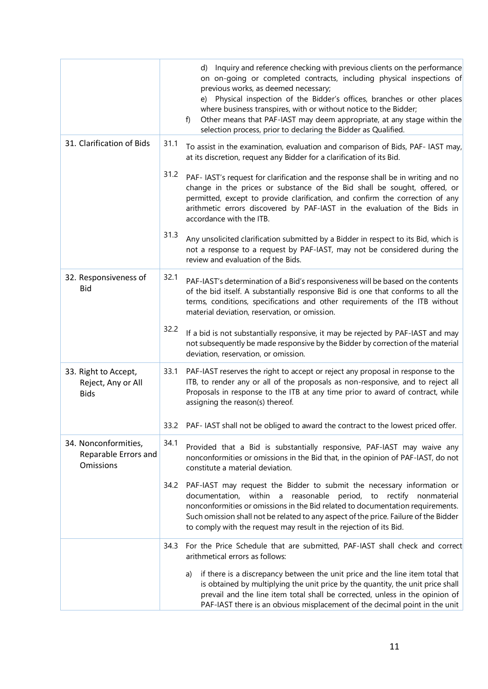|                                                           |      | d) Inquiry and reference checking with previous clients on the performance<br>on on-going or completed contracts, including physical inspections of<br>previous works, as deemed necessary;<br>e) Physical inspection of the Bidder's offices, branches or other places<br>where business transpires, with or without notice to the Bidder;<br>Other means that PAF-IAST may deem appropriate, at any stage within the<br>f)<br>selection process, prior to declaring the Bidder as Qualified. |
|-----------------------------------------------------------|------|------------------------------------------------------------------------------------------------------------------------------------------------------------------------------------------------------------------------------------------------------------------------------------------------------------------------------------------------------------------------------------------------------------------------------------------------------------------------------------------------|
| 31. Clarification of Bids                                 | 31.1 | To assist in the examination, evaluation and comparison of Bids, PAF- IAST may,<br>at its discretion, request any Bidder for a clarification of its Bid.                                                                                                                                                                                                                                                                                                                                       |
|                                                           | 31.2 | PAF- IAST's request for clarification and the response shall be in writing and no<br>change in the prices or substance of the Bid shall be sought, offered, or<br>permitted, except to provide clarification, and confirm the correction of any<br>arithmetic errors discovered by PAF-IAST in the evaluation of the Bids in<br>accordance with the ITB.                                                                                                                                       |
|                                                           | 31.3 | Any unsolicited clarification submitted by a Bidder in respect to its Bid, which is<br>not a response to a request by PAF-IAST, may not be considered during the<br>review and evaluation of the Bids.                                                                                                                                                                                                                                                                                         |
| 32. Responsiveness of<br><b>Bid</b>                       | 32.1 | PAF-IAST's determination of a Bid's responsiveness will be based on the contents<br>of the bid itself. A substantially responsive Bid is one that conforms to all the<br>terms, conditions, specifications and other requirements of the ITB without<br>material deviation, reservation, or omission.                                                                                                                                                                                          |
|                                                           | 32.2 | If a bid is not substantially responsive, it may be rejected by PAF-IAST and may<br>not subsequently be made responsive by the Bidder by correction of the material<br>deviation, reservation, or omission.                                                                                                                                                                                                                                                                                    |
| 33. Right to Accept,<br>Reject, Any or All<br><b>Bids</b> | 33.1 | PAF-IAST reserves the right to accept or reject any proposal in response to the<br>ITB, to render any or all of the proposals as non-responsive, and to reject all<br>Proposals in response to the ITB at any time prior to award of contract, while<br>assigning the reason(s) thereof.                                                                                                                                                                                                       |
|                                                           | 33.2 | PAF- IAST shall not be obliged to award the contract to the lowest priced offer.                                                                                                                                                                                                                                                                                                                                                                                                               |
| 34. Nonconformities,<br>Reparable Errors and<br>Omissions | 34.1 | Provided that a Bid is substantially responsive, PAF-IAST may waive any<br>nonconformities or omissions in the Bid that, in the opinion of PAF-IAST, do not<br>constitute a material deviation.                                                                                                                                                                                                                                                                                                |
|                                                           | 34.2 | PAF-IAST may request the Bidder to submit the necessary information or<br>documentation, within a reasonable period, to rectify nonmaterial<br>nonconformities or omissions in the Bid related to documentation requirements.<br>Such omission shall not be related to any aspect of the price. Failure of the Bidder<br>to comply with the request may result in the rejection of its Bid.                                                                                                    |
|                                                           | 34.3 | For the Price Schedule that are submitted, PAF-IAST shall check and correct<br>arithmetical errors as follows:                                                                                                                                                                                                                                                                                                                                                                                 |
|                                                           |      | if there is a discrepancy between the unit price and the line item total that<br>a)<br>is obtained by multiplying the unit price by the quantity, the unit price shall<br>prevail and the line item total shall be corrected, unless in the opinion of<br>PAF-IAST there is an obvious misplacement of the decimal point in the unit                                                                                                                                                           |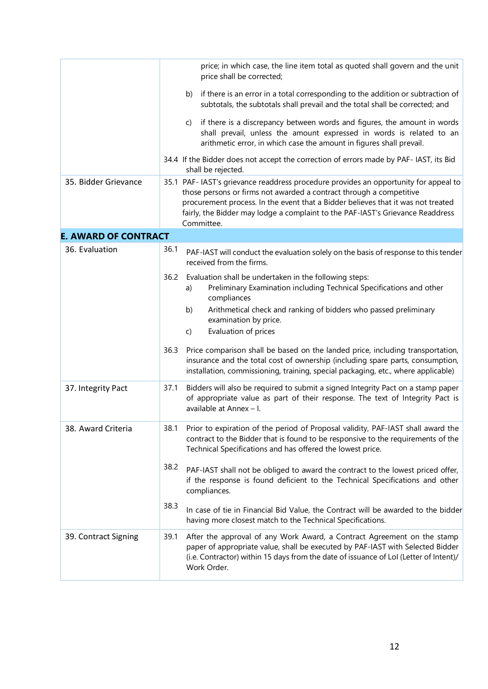|                             | price shall be corrected;                                                                                                                                                                                                                                                                                                                       | price; in which case, the line item total as quoted shall govern and the unit                                                                                                                                                                         |
|-----------------------------|-------------------------------------------------------------------------------------------------------------------------------------------------------------------------------------------------------------------------------------------------------------------------------------------------------------------------------------------------|-------------------------------------------------------------------------------------------------------------------------------------------------------------------------------------------------------------------------------------------------------|
|                             | b)                                                                                                                                                                                                                                                                                                                                              | if there is an error in a total corresponding to the addition or subtraction of<br>subtotals, the subtotals shall prevail and the total shall be corrected; and                                                                                       |
|                             | C)                                                                                                                                                                                                                                                                                                                                              | if there is a discrepancy between words and figures, the amount in words<br>shall prevail, unless the amount expressed in words is related to an<br>arithmetic error, in which case the amount in figures shall prevail.                              |
|                             | shall be rejected.                                                                                                                                                                                                                                                                                                                              | 34.4 If the Bidder does not accept the correction of errors made by PAF- IAST, its Bid                                                                                                                                                                |
| 35. Bidder Grievance        | 35.1 PAF- IAST's grievance readdress procedure provides an opportunity for appeal to<br>those persons or firms not awarded a contract through a competitive<br>procurement process. In the event that a Bidder believes that it was not treated<br>fairly, the Bidder may lodge a complaint to the PAF-IAST's Grievance Readdress<br>Committee. |                                                                                                                                                                                                                                                       |
| <b>E. AWARD OF CONTRACT</b> |                                                                                                                                                                                                                                                                                                                                                 |                                                                                                                                                                                                                                                       |
| 36. Evaluation              | 36.1<br>received from the firms.                                                                                                                                                                                                                                                                                                                | PAF-IAST will conduct the evaluation solely on the basis of response to this tender                                                                                                                                                                   |
|                             | 36.2<br>a)<br>compliances<br>b)<br>examination by price.<br>Evaluation of prices<br>$\mathsf{C}$                                                                                                                                                                                                                                                | Evaluation shall be undertaken in the following steps:<br>Preliminary Examination including Technical Specifications and other<br>Arithmetical check and ranking of bidders who passed preliminary                                                    |
|                             | 36.3                                                                                                                                                                                                                                                                                                                                            | Price comparison shall be based on the landed price, including transportation,<br>insurance and the total cost of ownership (including spare parts, consumption,<br>installation, commissioning, training, special packaging, etc., where applicable) |
| 37. Integrity Pact          | 37.1<br>available at Annex - I.                                                                                                                                                                                                                                                                                                                 | Bidders will also be required to submit a signed Integrity Pact on a stamp paper<br>of appropriate value as part of their response. The text of Integrity Pact is                                                                                     |
| 38. Award Criteria          | 38.1                                                                                                                                                                                                                                                                                                                                            | Prior to expiration of the period of Proposal validity, PAF-IAST shall award the<br>contract to the Bidder that is found to be responsive to the requirements of the<br>Technical Specifications and has offered the lowest price.                    |
|                             | 38.2<br>compliances.                                                                                                                                                                                                                                                                                                                            | PAF-IAST shall not be obliged to award the contract to the lowest priced offer,<br>if the response is found deficient to the Technical Specifications and other                                                                                       |
|                             | 38.3                                                                                                                                                                                                                                                                                                                                            | In case of tie in Financial Bid Value, the Contract will be awarded to the bidder<br>having more closest match to the Technical Specifications.                                                                                                       |
| 39. Contract Signing        | 39.1<br>Work Order.                                                                                                                                                                                                                                                                                                                             | After the approval of any Work Award, a Contract Agreement on the stamp<br>paper of appropriate value, shall be executed by PAF-IAST with Selected Bidder<br>(i.e. Contractor) within 15 days from the date of issuance of LoI (Letter of Intent)/    |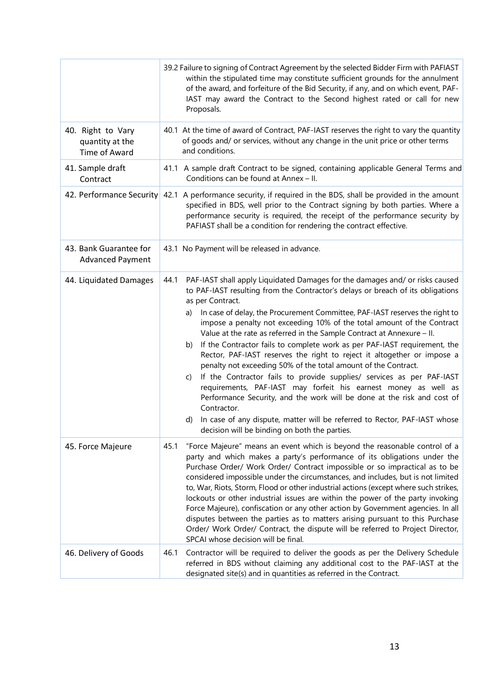|                                                       | 39.2 Failure to signing of Contract Agreement by the selected Bidder Firm with PAFIAST<br>within the stipulated time may constitute sufficient grounds for the annulment<br>of the award, and forfeiture of the Bid Security, if any, and on which event, PAF-<br>IAST may award the Contract to the Second highest rated or call for new<br>Proposals.                                                                                                                                                                                                                                                                                                                                                                                                                                                                                                                                                                                                                                                                                              |
|-------------------------------------------------------|------------------------------------------------------------------------------------------------------------------------------------------------------------------------------------------------------------------------------------------------------------------------------------------------------------------------------------------------------------------------------------------------------------------------------------------------------------------------------------------------------------------------------------------------------------------------------------------------------------------------------------------------------------------------------------------------------------------------------------------------------------------------------------------------------------------------------------------------------------------------------------------------------------------------------------------------------------------------------------------------------------------------------------------------------|
| 40. Right to Vary<br>quantity at the<br>Time of Award | 40.1 At the time of award of Contract, PAF-IAST reserves the right to vary the quantity<br>of goods and/ or services, without any change in the unit price or other terms<br>and conditions.                                                                                                                                                                                                                                                                                                                                                                                                                                                                                                                                                                                                                                                                                                                                                                                                                                                         |
| 41. Sample draft<br>Contract                          | 41.1 A sample draft Contract to be signed, containing applicable General Terms and<br>Conditions can be found at Annex - II.                                                                                                                                                                                                                                                                                                                                                                                                                                                                                                                                                                                                                                                                                                                                                                                                                                                                                                                         |
|                                                       | 42. Performance Security 42.1 A performance security, if required in the BDS, shall be provided in the amount<br>specified in BDS, well prior to the Contract signing by both parties. Where a<br>performance security is required, the receipt of the performance security by<br>PAFIAST shall be a condition for rendering the contract effective.                                                                                                                                                                                                                                                                                                                                                                                                                                                                                                                                                                                                                                                                                                 |
| 43. Bank Guarantee for<br><b>Advanced Payment</b>     | 43.1 No Payment will be released in advance.                                                                                                                                                                                                                                                                                                                                                                                                                                                                                                                                                                                                                                                                                                                                                                                                                                                                                                                                                                                                         |
| 44. Liquidated Damages                                | PAF-IAST shall apply Liquidated Damages for the damages and/ or risks caused<br>44.1<br>to PAF-IAST resulting from the Contractor's delays or breach of its obligations<br>as per Contract.<br>In case of delay, the Procurement Committee, PAF-IAST reserves the right to<br>a)<br>impose a penalty not exceeding 10% of the total amount of the Contract<br>Value at the rate as referred in the Sample Contract at Annexure - II.<br>If the Contractor fails to complete work as per PAF-IAST requirement, the<br>b)<br>Rector, PAF-IAST reserves the right to reject it altogether or impose a<br>penalty not exceeding 50% of the total amount of the Contract.<br>If the Contractor fails to provide supplies/ services as per PAF-IAST<br>C)<br>requirements, PAF-IAST may forfeit his earnest money as well as<br>Performance Security, and the work will be done at the risk and cost of<br>Contractor.<br>In case of any dispute, matter will be referred to Rector, PAF-IAST whose<br>d)<br>decision will be binding on both the parties. |
| 45. Force Majeure                                     | "Force Majeure" means an event which is beyond the reasonable control of a<br>45.1<br>party and which makes a party's performance of its obligations under the<br>Purchase Order/ Work Order/ Contract impossible or so impractical as to be<br>considered impossible under the circumstances, and includes, but is not limited<br>to, War, Riots, Storm, Flood or other industrial actions (except where such strikes,<br>lockouts or other industrial issues are within the power of the party invoking<br>Force Majeure), confiscation or any other action by Government agencies. In all<br>disputes between the parties as to matters arising pursuant to this Purchase<br>Order/ Work Order/ Contract, the dispute will be referred to Project Director,<br>SPCAI whose decision will be final.                                                                                                                                                                                                                                                |
| 46. Delivery of Goods                                 | 46.1<br>Contractor will be required to deliver the goods as per the Delivery Schedule<br>referred in BDS without claiming any additional cost to the PAF-IAST at the<br>designated site(s) and in quantities as referred in the Contract.                                                                                                                                                                                                                                                                                                                                                                                                                                                                                                                                                                                                                                                                                                                                                                                                            |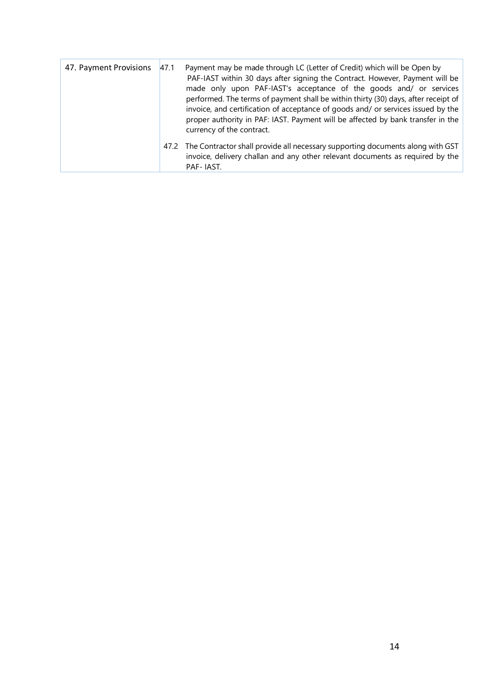| 47. Payment Provisions | 47.1 | Payment may be made through LC (Letter of Credit) which will be Open by<br>PAF-IAST within 30 days after signing the Contract. However, Payment will be<br>made only upon PAF-IAST's acceptance of the goods and/ or services<br>performed. The terms of payment shall be within thirty (30) days, after receipt of<br>invoice, and certification of acceptance of goods and/ or services issued by the<br>proper authority in PAF: IAST. Payment will be affected by bank transfer in the<br>currency of the contract. |
|------------------------|------|-------------------------------------------------------------------------------------------------------------------------------------------------------------------------------------------------------------------------------------------------------------------------------------------------------------------------------------------------------------------------------------------------------------------------------------------------------------------------------------------------------------------------|
|                        |      | 47.2 The Contractor shall provide all necessary supporting documents along with GST<br>invoice, delivery challan and any other relevant documents as required by the<br>PAF-IAST.                                                                                                                                                                                                                                                                                                                                       |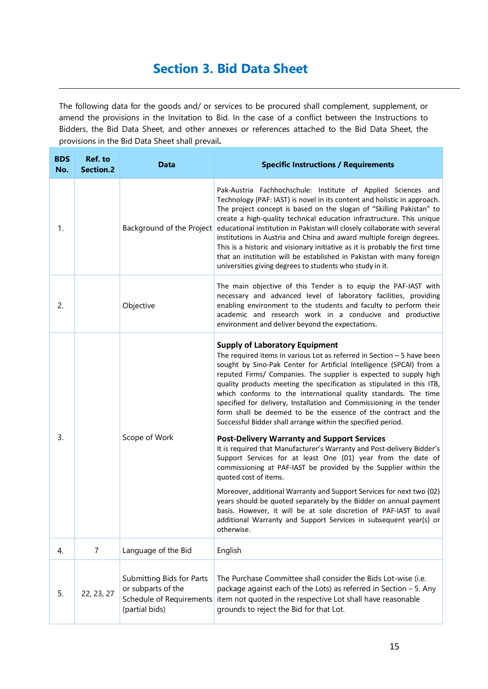## Section 3. Bid Data Sheet

The following data for the goods and/ or services to be procured shall complement, supplement, or amend the provisions in the Invitation to Bid. In the case of a conflict between the Instructions to Bidders, the Bid Data Sheet, and other annexes or references attached to the Bid Data Sheet, the provisions in the Bid Data Sheet shall prevail.

| <b>BDS</b><br>No. | Ref. to<br><b>Section.2</b> | <b>Data</b>                                                                                   | <b>Specific Instructions / Requirements</b>                                                                                                                                                                                                                                                                                                                                                                                                                                                                                                                                                                                                                                                                                                                                                                         |
|-------------------|-----------------------------|-----------------------------------------------------------------------------------------------|---------------------------------------------------------------------------------------------------------------------------------------------------------------------------------------------------------------------------------------------------------------------------------------------------------------------------------------------------------------------------------------------------------------------------------------------------------------------------------------------------------------------------------------------------------------------------------------------------------------------------------------------------------------------------------------------------------------------------------------------------------------------------------------------------------------------|
| 1.                |                             | Background of the Project                                                                     | Pak-Austria Fachhochschule: Institute of Applied Sciences and<br>Technology (PAF: IAST) is novel in its content and holistic in approach.<br>The project concept is based on the slogan of "Skilling Pakistan" to<br>create a high-quality technical education infrastructure. This unique<br>educational institution in Pakistan will closely collaborate with several<br>institutions in Austria and China and award multiple foreign degrees.<br>This is a historic and visionary initiative as it is probably the first time<br>that an institution will be established in Pakistan with many foreign<br>universities giving degrees to students who study in it.                                                                                                                                               |
| 2.                |                             | Objective                                                                                     | The main objective of this Tender is to equip the PAF-IAST with<br>necessary and advanced level of laboratory facilities, providing<br>enabling environment to the students and faculty to perform their<br>academic and research work in a conducive and productive<br>environment and deliver beyond the expectations.                                                                                                                                                                                                                                                                                                                                                                                                                                                                                            |
| 3.                |                             | Scope of Work                                                                                 | <b>Supply of Laboratory Equipment</b><br>The required items in various Lot as referred in Section $-5$ have been<br>sought by Sino-Pak Center for Artificial Intelligence (SPCAI) from a<br>reputed Firms/ Companies. The supplier is expected to supply high<br>quality products meeting the specification as stipulated in this ITB,<br>which conforms to the international quality standards. The time<br>specified for delivery, Installation and Commissioning in the tender<br>form shall be deemed to be the essence of the contract and the<br>Successful Bidder shall arrange within the specified period.<br><b>Post-Delivery Warranty and Support Services</b><br>It is required that Manufacturer's Warranty and Post-delivery Bidder's<br>Support Services for at least One (01) year from the date of |
|                   |                             |                                                                                               | commissioning at PAF-IAST be provided by the Supplier within the<br>quoted cost of items.<br>Moreover, additional Warranty and Support Services for next two (02)<br>years should be quoted separately by the Bidder on annual payment<br>basis. However, it will be at sole discretion of PAF-IAST to avail<br>additional Warranty and Support Services in subsequent year(s) or<br>otherwise.                                                                                                                                                                                                                                                                                                                                                                                                                     |
| 4.                | $\overline{7}$              | Language of the Bid                                                                           | English                                                                                                                                                                                                                                                                                                                                                                                                                                                                                                                                                                                                                                                                                                                                                                                                             |
| 5.                | 22, 23, 27                  | Submitting Bids for Parts<br>or subparts of the<br>Schedule of Requirements<br>(partial bids) | The Purchase Committee shall consider the Bids Lot-wise (i.e.<br>package against each of the Lots) as referred in Section - 5. Any<br>item not quoted in the respective Lot shall have reasonable<br>grounds to reject the Bid for that Lot.                                                                                                                                                                                                                                                                                                                                                                                                                                                                                                                                                                        |

.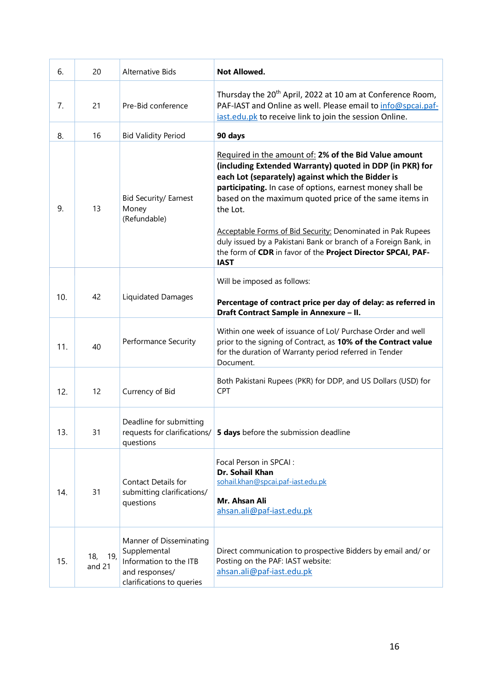| 6.  | 20                   | Alternative Bids                                                                                                 | <b>Not Allowed.</b>                                                                                                                                                                                                                                                                                                                                                                                                                                                                                                        |
|-----|----------------------|------------------------------------------------------------------------------------------------------------------|----------------------------------------------------------------------------------------------------------------------------------------------------------------------------------------------------------------------------------------------------------------------------------------------------------------------------------------------------------------------------------------------------------------------------------------------------------------------------------------------------------------------------|
| 7.  | 21                   | Pre-Bid conference                                                                                               | Thursday the 20 <sup>th</sup> April, 2022 at 10 am at Conference Room,<br>PAF-IAST and Online as well. Please email to info@spcai.paf-<br>iast.edu.pk to receive link to join the session Online.                                                                                                                                                                                                                                                                                                                          |
| 8.  | 16                   | <b>Bid Validity Period</b>                                                                                       | 90 days                                                                                                                                                                                                                                                                                                                                                                                                                                                                                                                    |
| 9.  | 13                   | <b>Bid Security/ Earnest</b><br>Money<br>(Refundable)                                                            | Required in the amount of: 2% of the Bid Value amount<br>(including Extended Warranty) quoted in DDP (in PKR) for<br>each Lot (separately) against which the Bidder is<br>participating. In case of options, earnest money shall be<br>based on the maximum quoted price of the same items in<br>the Lot.<br>Acceptable Forms of Bid Security: Denominated in Pak Rupees<br>duly issued by a Pakistani Bank or branch of a Foreign Bank, in<br>the form of CDR in favor of the Project Director SPCAI, PAF-<br><b>IAST</b> |
| 10. | 42                   | <b>Liquidated Damages</b>                                                                                        | Will be imposed as follows:<br>Percentage of contract price per day of delay: as referred in<br>Draft Contract Sample in Annexure - II.                                                                                                                                                                                                                                                                                                                                                                                    |
| 11. | 40                   | Performance Security                                                                                             | Within one week of issuance of Lol/ Purchase Order and well<br>prior to the signing of Contract, as 10% of the Contract value<br>for the duration of Warranty period referred in Tender<br>Document.                                                                                                                                                                                                                                                                                                                       |
| 12. | 12                   | Currency of Bid                                                                                                  | Both Pakistani Rupees (PKR) for DDP, and US Dollars (USD) for<br><b>CPT</b>                                                                                                                                                                                                                                                                                                                                                                                                                                                |
| 13. | 31                   | Deadline for submitting<br>requests for clarifications/<br>questions                                             | 5 days before the submission deadline                                                                                                                                                                                                                                                                                                                                                                                                                                                                                      |
| 14. | 31                   | Contact Details for<br>submitting clarifications/<br>questions                                                   | Focal Person in SPCAI :<br>Dr. Sohail Khan<br>sohail.khan@spcai.paf-iast.edu.pk<br>Mr. Ahsan Ali<br>ahsan.ali@paf-iast.edu.pk                                                                                                                                                                                                                                                                                                                                                                                              |
| 15. | 19,<br>18,<br>and 21 | Manner of Disseminating<br>Supplemental<br>Information to the ITB<br>and responses/<br>clarifications to queries | Direct communication to prospective Bidders by email and/ or<br>Posting on the PAF: IAST website:<br>ahsan.ali@paf-iast.edu.pk                                                                                                                                                                                                                                                                                                                                                                                             |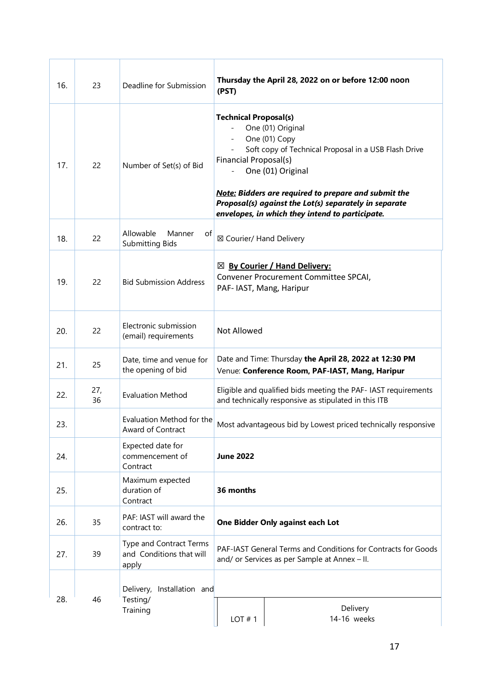| 16. | 23        | Deadline for Submission                                      | Thursday the April 28, 2022 on or before 12:00 noon<br>(PST)                                                                                                                                                                                                                                                                                        |                                  |  |
|-----|-----------|--------------------------------------------------------------|-----------------------------------------------------------------------------------------------------------------------------------------------------------------------------------------------------------------------------------------------------------------------------------------------------------------------------------------------------|----------------------------------|--|
| 17. | 22        | Number of Set(s) of Bid                                      | <b>Technical Proposal(s)</b><br>One (01) Original<br>One (01) Copy<br>Soft copy of Technical Proposal in a USB Flash Drive<br>Financial Proposal(s)<br>One (01) Original<br><b>Note: Bidders are required to prepare and submit the</b><br>Proposal(s) against the Lot(s) separately in separate<br>envelopes, in which they intend to participate. |                                  |  |
| 18. | 22        | Allowable<br>Manner<br>of<br><b>Submitting Bids</b>          | ⊠ Courier/ Hand Delivery                                                                                                                                                                                                                                                                                                                            |                                  |  |
| 19. | 22        | <b>Bid Submission Address</b>                                | $\boxtimes$ By Courier / Hand Delivery:<br>Convener Procurement Committee SPCAI,<br>PAF- IAST, Mang, Haripur                                                                                                                                                                                                                                        |                                  |  |
| 20. | 22        | Electronic submission<br>(email) requirements                | Not Allowed                                                                                                                                                                                                                                                                                                                                         |                                  |  |
| 21. | 25        | Date, time and venue for<br>the opening of bid               | Date and Time: Thursday the April 28, 2022 at 12:30 PM<br>Venue: Conference Room, PAF-IAST, Mang, Haripur                                                                                                                                                                                                                                           |                                  |  |
| 22. | 27,<br>36 | <b>Evaluation Method</b>                                     | Eligible and qualified bids meeting the PAF- IAST requirements<br>and technically responsive as stipulated in this ITB                                                                                                                                                                                                                              |                                  |  |
| 23. |           | Evaluation Method for the<br>Award of Contract               | Most advantageous bid by Lowest priced technically responsive                                                                                                                                                                                                                                                                                       |                                  |  |
| 24. |           | Expected date for<br>commencement of<br>Contract             | <b>June 2022</b>                                                                                                                                                                                                                                                                                                                                    |                                  |  |
| 25. |           | Maximum expected<br>duration of<br>Contract                  | 36 months                                                                                                                                                                                                                                                                                                                                           |                                  |  |
| 26. | 35        | PAF: IAST will award the<br>contract to:                     |                                                                                                                                                                                                                                                                                                                                                     | One Bidder Only against each Lot |  |
| 27. | 39        | Type and Contract Terms<br>and Conditions that will<br>apply | PAF-IAST General Terms and Conditions for Contracts for Goods<br>and/ or Services as per Sample at Annex - II.                                                                                                                                                                                                                                      |                                  |  |
| 28. | 46        | Delivery, Installation and<br>Testing/<br>Training           | LOT#1                                                                                                                                                                                                                                                                                                                                               | Delivery<br>14-16 weeks          |  |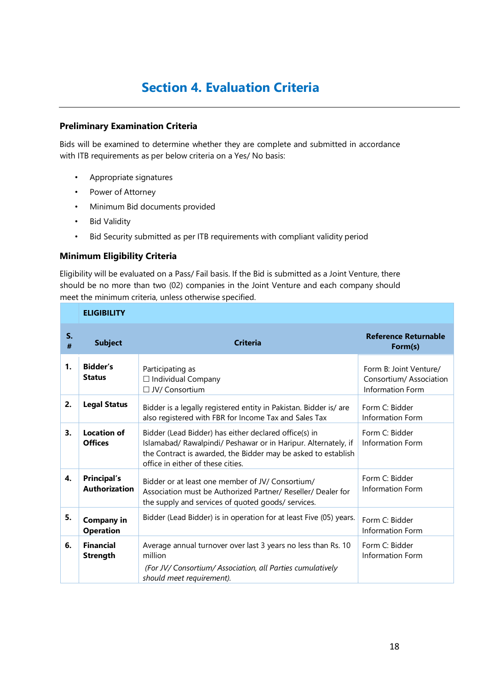## Section 4. Evaluation Criteria

#### Preliminary Examination Criteria

Bids will be examined to determine whether they are complete and submitted in accordance with ITB requirements as per below criteria on a Yes/ No basis:

- Appropriate signatures
- Power of Attorney
- Minimum Bid documents provided
- Bid Validity
- Bid Security submitted as per ITB requirements with compliant validity period

#### Minimum Eligibility Criteria

Eligibility will be evaluated on a Pass/ Fail basis. If the Bid is submitted as a Joint Venture, there should be no more than two (02) companies in the Joint Venture and each company should meet the minimum criteria, unless otherwise specified.

|         | <b>ELIGIBILITY</b>                         |                                                                                                                                                                                                                               |                                                                             |
|---------|--------------------------------------------|-------------------------------------------------------------------------------------------------------------------------------------------------------------------------------------------------------------------------------|-----------------------------------------------------------------------------|
| S.<br># | <b>Subject</b>                             | <b>Criteria</b>                                                                                                                                                                                                               | <b>Reference Returnable</b><br>Form(s)                                      |
| 1.      | <b>Bidder's</b><br><b>Status</b>           | Participating as<br>$\Box$ Individual Company<br>□ JV/ Consortium                                                                                                                                                             | Form B: Joint Venture/<br>Consortium/Association<br><b>Information Form</b> |
| 2.      | <b>Legal Status</b>                        | Bidder is a legally registered entity in Pakistan. Bidder is/ are<br>also registered with FBR for Income Tax and Sales Tax                                                                                                    | Form C: Bidder<br>Information Form                                          |
| 3.      | <b>Location of</b><br><b>Offices</b>       | Bidder (Lead Bidder) has either declared office(s) in<br>Islamabad/ Rawalpindi/ Peshawar or in Haripur. Alternately, if<br>the Contract is awarded, the Bidder may be asked to establish<br>office in either of these cities. | Form C: Bidder<br><b>Information Form</b>                                   |
| 4.      | <b>Principal's</b><br><b>Authorization</b> | Bidder or at least one member of JV/ Consortium/<br>Association must be Authorized Partner/ Reseller/ Dealer for<br>the supply and services of quoted goods/ services.                                                        | Form C: Bidder<br><b>Information Form</b>                                   |
| 5.      | <b>Company in</b><br><b>Operation</b>      | Bidder (Lead Bidder) is in operation for at least Five (05) years.                                                                                                                                                            | Form C: Bidder<br>Information Form                                          |
| 6.      | <b>Financial</b><br><b>Strength</b>        | Average annual turnover over last 3 years no less than Rs. 10<br>million<br>(For JV/Consortium/Association, all Parties cumulatively<br>should meet requirement).                                                             | Form C: Bidder<br>Information Form                                          |

.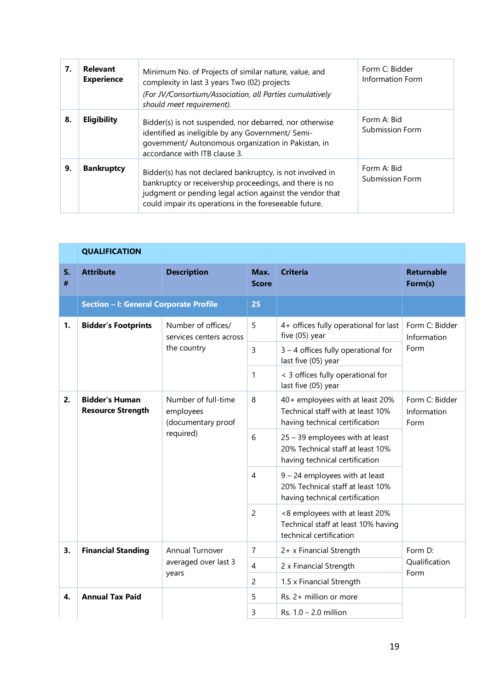| 7. | Relevant<br><b>Experience</b> | Minimum No. of Projects of similar nature, value, and<br>complexity in last 3 years Two (02) projects<br>(For JV/Consortium/Association, all Parties cumulatively<br>should meet requirement).                                             | Form C: Bidder<br>Information Form |
|----|-------------------------------|--------------------------------------------------------------------------------------------------------------------------------------------------------------------------------------------------------------------------------------------|------------------------------------|
| 8. | <b>Eligibility</b>            | Bidder(s) is not suspended, nor debarred, nor otherwise<br>identified as ineligible by any Government/ Semi-<br>government/ Autonomous organization in Pakistan, in<br>accordance with ITB clause 3.                                       | Form A: Bid<br>Submission Form     |
| 9. | <b>Bankruptcy</b>             | Bidder(s) has not declared bankruptcy, is not involved in<br>bankruptcy or receivership proceedings, and there is no<br>judgment or pending legal action against the vendor that<br>could impair its operations in the foreseeable future. | Form A: Bid<br>Submission Form     |

|         | <b>QUALIFICATION</b>                              |                                                        |                      |                                                                                                        |                                       |
|---------|---------------------------------------------------|--------------------------------------------------------|----------------------|--------------------------------------------------------------------------------------------------------|---------------------------------------|
| S.<br># | <b>Attribute</b>                                  | <b>Description</b>                                     | Max.<br><b>Score</b> | <b>Criteria</b>                                                                                        | <b>Returnable</b><br>Form(s)          |
|         | Section - I: General Corporate Profile            |                                                        | 25                   |                                                                                                        |                                       |
| 1.      | <b>Bidder's Footprints</b>                        | Number of offices/<br>services centers across          | 5                    | 4+ offices fully operational for last<br>five (05) year                                                | Form C: Bidder<br>Information<br>Form |
|         |                                                   | the country                                            | 3                    | 3 - 4 offices fully operational for<br>last five (05) year                                             |                                       |
|         |                                                   |                                                        | 1                    | < 3 offices fully operational for<br>last five (05) year                                               |                                       |
| 2.      | <b>Bidder's Human</b><br><b>Resource Strength</b> | Number of full-time<br>employees<br>(documentary proof | 8                    | 40+ employees with at least 20%<br>Technical staff with at least 10%<br>having technical certification | Form C: Bidder<br>Information<br>Form |
|         |                                                   | required)                                              | 6                    | 25 - 39 employees with at least<br>20% Technical staff at least 10%<br>having technical certification  |                                       |
|         |                                                   |                                                        | 4                    | $9 - 24$ employees with at least<br>20% Technical staff at least 10%<br>having technical certification |                                       |
|         |                                                   |                                                        | $\overline{2}$       | <8 employees with at least 20%<br>Technical staff at least 10% having<br>technical certification       |                                       |
| 3.      | <b>Financial Standing</b>                         | <b>Annual Turnover</b>                                 | 7                    | 2+ x Financial Strength                                                                                | Form D:                               |
|         |                                                   | averaged over last 3<br>years                          | 4                    | 2 x Financial Strength                                                                                 | Qualification<br>Form                 |
|         |                                                   |                                                        | $\overline{c}$       | 1.5 x Financial Strength                                                                               |                                       |
| 4.      | <b>Annual Tax Paid</b>                            |                                                        | 5                    | Rs. 2+ million or more                                                                                 |                                       |
|         |                                                   |                                                        | 3                    | Rs. $1.0 - 2.0$ million                                                                                |                                       |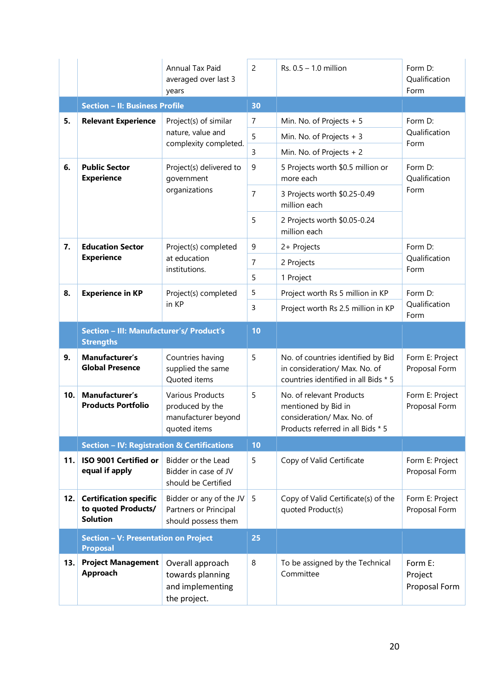|     |                                                                         | Annual Tax Paid<br>averaged over last 3<br>years                                  | $\overline{c}$ | $Rs. 0.5 - 1.0$ million                                                                                            | Form D:<br>Qualification<br>Form    |
|-----|-------------------------------------------------------------------------|-----------------------------------------------------------------------------------|----------------|--------------------------------------------------------------------------------------------------------------------|-------------------------------------|
|     | <b>Section - II: Business Profile</b>                                   |                                                                                   | 30             |                                                                                                                    |                                     |
| 5.  | <b>Relevant Experience</b>                                              | Project(s) of similar                                                             | 7              | Min. No. of Projects + 5                                                                                           | Form D:                             |
|     |                                                                         | nature, value and<br>complexity completed.                                        | 5              | Min. No. of Projects + 3                                                                                           | Qualification<br>Form               |
|     |                                                                         |                                                                                   | 3              | Min. No. of Projects + 2                                                                                           |                                     |
| 6.  | <b>Public Sector</b><br><b>Experience</b>                               | Project(s) delivered to<br>government                                             | 9              | 5 Projects worth \$0.5 million or<br>more each                                                                     | Form D:<br>Qualification            |
|     |                                                                         | organizations                                                                     | $\overline{7}$ | 3 Projects worth \$0.25-0.49<br>million each                                                                       | Form                                |
|     |                                                                         |                                                                                   | 5              | 2 Projects worth \$0.05-0.24<br>million each                                                                       |                                     |
| 7.  | <b>Education Sector</b>                                                 | Project(s) completed                                                              | 9              | 2+ Projects                                                                                                        | Form D:                             |
|     | <b>Experience</b>                                                       | at education<br>institutions.                                                     | 7              | 2 Projects                                                                                                         | Qualification<br>Form               |
|     |                                                                         |                                                                                   | 5              | 1 Project                                                                                                          |                                     |
| 8.  | <b>Experience in KP</b>                                                 | Project(s) completed                                                              | 5              | Project worth Rs 5 million in KP                                                                                   | Form D:                             |
|     |                                                                         | in KP                                                                             | 3              | Project worth Rs 2.5 million in KP                                                                                 | Qualification<br>Form               |
|     | Section - III: Manufacturer's/ Product's<br><b>Strengths</b>            |                                                                                   | 10             |                                                                                                                    |                                     |
| 9.  | Manufacturer's<br><b>Global Presence</b>                                | Countries having<br>supplied the same<br>Quoted items                             | 5              | No. of countries identified by Bid<br>in consideration/ Max. No. of<br>countries identified in all Bids * 5        | Form E: Project<br>Proposal Form    |
| 10. | Manufacturer's<br><b>Products Portfolio</b>                             | <b>Various Products</b><br>produced by the<br>manufacturer beyond<br>quoted items | 5              | No. of relevant Products<br>mentioned by Bid in<br>consideration/ Max. No. of<br>Products referred in all Bids * 5 | Form E: Project<br>Proposal Form    |
|     | <b>Section - IV: Registration &amp; Certifications</b>                  |                                                                                   | 10             |                                                                                                                    |                                     |
| 11. | ISO 9001 Certified or<br>equal if apply                                 | Bidder or the Lead<br>Bidder in case of JV<br>should be Certified                 | 5              | Copy of Valid Certificate                                                                                          | Form E: Project<br>Proposal Form    |
| 12. | <b>Certification specific</b><br>to quoted Products/<br><b>Solution</b> | Bidder or any of the JV<br>Partners or Principal<br>should possess them           | 5              | Copy of Valid Certificate(s) of the<br>quoted Product(s)                                                           | Form E: Project<br>Proposal Form    |
|     | Section - V: Presentation on Project<br><b>Proposal</b>                 |                                                                                   | 25             |                                                                                                                    |                                     |
| 13. | <b>Project Management</b><br>Approach                                   | Overall approach<br>towards planning<br>and implementing<br>the project.          | 8              | To be assigned by the Technical<br>Committee                                                                       | Form E:<br>Project<br>Proposal Form |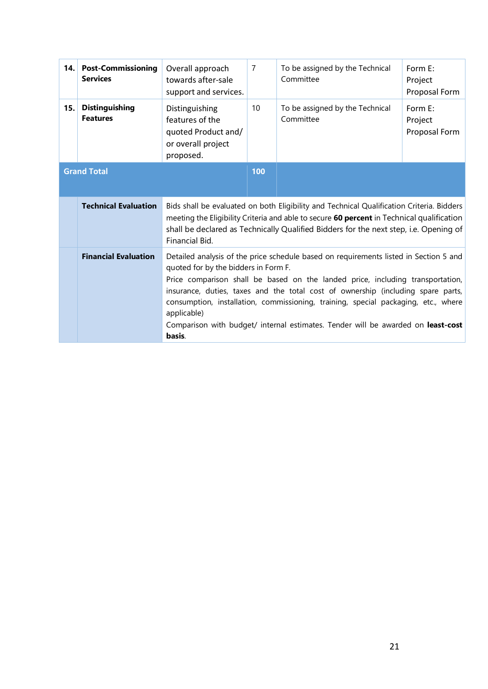| 14.1 | <b>Post-Commissioning</b><br><b>Services</b> | Overall approach<br>towards after-sale<br>support and services.                                                                                                                                                                                                                                                                                                                                                                                                                                        | $\overline{7}$ | To be assigned by the Technical<br>Committee | Form E:<br>Project<br>Proposal Form |
|------|----------------------------------------------|--------------------------------------------------------------------------------------------------------------------------------------------------------------------------------------------------------------------------------------------------------------------------------------------------------------------------------------------------------------------------------------------------------------------------------------------------------------------------------------------------------|----------------|----------------------------------------------|-------------------------------------|
| 15.  | <b>Distinguishing</b><br><b>Features</b>     | Distinguishing<br>features of the<br>quoted Product and/<br>or overall project<br>proposed.                                                                                                                                                                                                                                                                                                                                                                                                            | 10             | To be assigned by the Technical<br>Committee | Form E:<br>Project<br>Proposal Form |
|      | <b>Grand Total</b>                           |                                                                                                                                                                                                                                                                                                                                                                                                                                                                                                        | 100            |                                              |                                     |
|      | <b>Technical Evaluation</b>                  | Bids shall be evaluated on both Eligibility and Technical Qualification Criteria. Bidders<br>meeting the Eligibility Criteria and able to secure 60 percent in Technical qualification<br>shall be declared as Technically Qualified Bidders for the next step, i.e. Opening of<br>Financial Bid.                                                                                                                                                                                                      |                |                                              |                                     |
|      | <b>Financial Evaluation</b>                  | Detailed analysis of the price schedule based on requirements listed in Section 5 and<br>quoted for by the bidders in Form F.<br>Price comparison shall be based on the landed price, including transportation,<br>insurance, duties, taxes and the total cost of ownership (including spare parts,<br>consumption, installation, commissioning, training, special packaging, etc., where<br>applicable)<br>Comparison with budget/ internal estimates. Tender will be awarded on least-cost<br>basis. |                |                                              |                                     |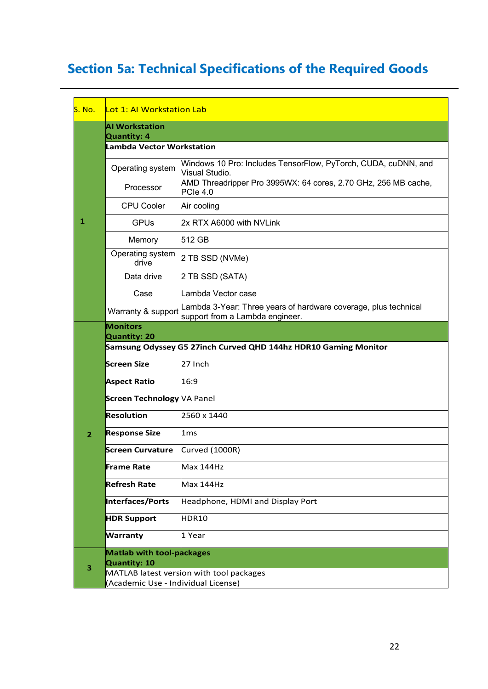## Section 5a: Technical Specifications of the Required Goods

| S. No.         | <u>ll ot 1: Al Workstation Lab</u>                                                     |                                                                                                    |  |  |  |
|----------------|----------------------------------------------------------------------------------------|----------------------------------------------------------------------------------------------------|--|--|--|
|                | <b>AI Workstation</b><br>Quantity: 4                                                   |                                                                                                    |  |  |  |
|                | <b>Lambda Vector Workstation</b>                                                       |                                                                                                    |  |  |  |
|                | Operating system                                                                       | Windows 10 Pro: Includes TensorFlow, PyTorch, CUDA, cuDNN, and<br>Visual Studio.                   |  |  |  |
|                | Processor                                                                              | AMD Threadripper Pro 3995WX: 64 cores, 2.70 GHz, 256 MB cache,<br>$PC$ le 4.0                      |  |  |  |
|                | <b>CPU Cooler</b>                                                                      | Air cooling                                                                                        |  |  |  |
| 1              | <b>GPUs</b>                                                                            | 2x RTX A6000 with NVLink                                                                           |  |  |  |
|                | Memory                                                                                 | 512 GB                                                                                             |  |  |  |
|                | Operating system<br>drive                                                              | 2 TB SSD (NVMe)                                                                                    |  |  |  |
|                | Data drive                                                                             | 2 TB SSD (SATA)                                                                                    |  |  |  |
|                | Case                                                                                   | Lambda Vector case                                                                                 |  |  |  |
|                | Warranty & support                                                                     | Lambda 3-Year: Three years of hardware coverage, plus technical<br>support from a Lambda engineer. |  |  |  |
|                | <b>Monitors</b>                                                                        |                                                                                                    |  |  |  |
|                | <b>Quantity: 20</b><br>Samsung Odyssey G5 27inch Curved QHD 144hz HDR10 Gaming Monitor |                                                                                                    |  |  |  |
|                | <b>Screen Size</b>                                                                     | 27 Inch                                                                                            |  |  |  |
|                | <b>Aspect Ratio</b>                                                                    | 16:9                                                                                               |  |  |  |
|                | Screen Technology VA Panel                                                             |                                                                                                    |  |  |  |
|                | <b>Resolution</b>                                                                      | 2560 x 1440                                                                                        |  |  |  |
| $\overline{2}$ | <b>Response Size</b>                                                                   | 1 <sub>ms</sub>                                                                                    |  |  |  |
|                | <b>Screen Curvature</b>                                                                | Curved (1000R)                                                                                     |  |  |  |
|                | <b>Frame Rate</b>                                                                      | Max 144Hz                                                                                          |  |  |  |
|                | <b>Refresh Rate</b>                                                                    | Max 144Hz                                                                                          |  |  |  |
|                | <b>Interfaces/Ports</b>                                                                | Headphone, HDMI and Display Port                                                                   |  |  |  |
|                | <b>HDR Support</b>                                                                     | HDR10                                                                                              |  |  |  |
|                | <b>Warranty</b>                                                                        | 1 Year                                                                                             |  |  |  |
|                | <b>Matlab with tool-packages</b>                                                       |                                                                                                    |  |  |  |
| 3              | Quantity: 10<br>(Academic Use - Individual License)                                    | MATLAB latest version with tool packages                                                           |  |  |  |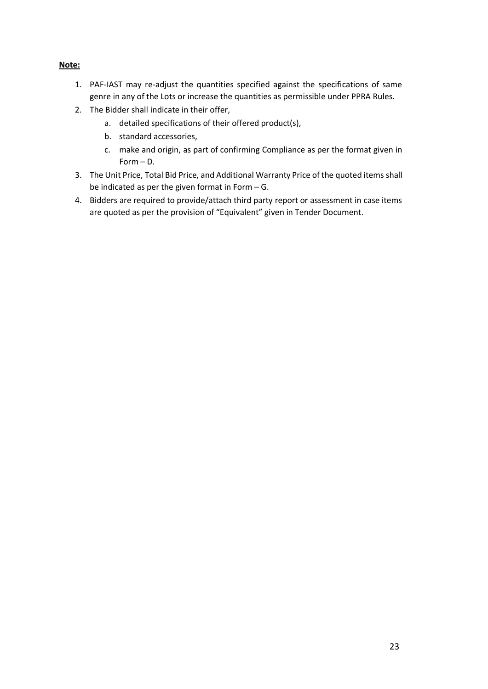#### Note:

- 1. PAF-IAST may re-adjust the quantities specified against the specifications of same genre in any of the Lots or increase the quantities as permissible under PPRA Rules.
- 2. The Bidder shall indicate in their offer,
	- a. detailed specifications of their offered product(s),
	- b. standard accessories,
	- c. make and origin, as part of confirming Compliance as per the format given in Form – D.
- 3. The Unit Price, Total Bid Price, and Additional Warranty Price of the quoted items shall be indicated as per the given format in Form – G.
- 4. Bidders are required to provide/attach third party report or assessment in case items are quoted as per the provision of "Equivalent" given in Tender Document.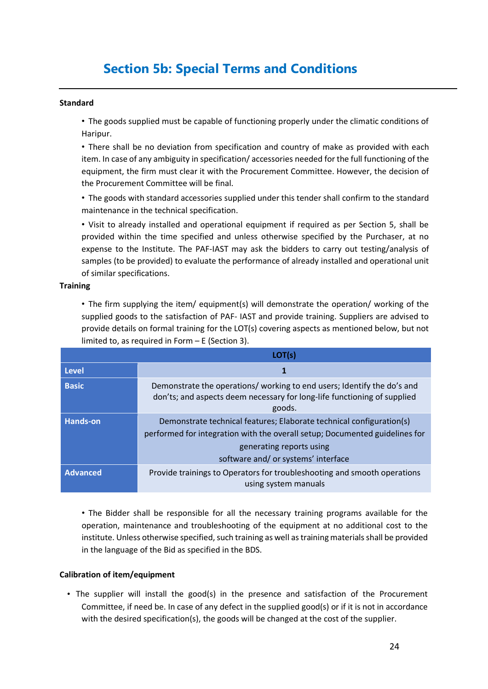## Section 5b: Special Terms and Conditions

#### Standard

• The goods supplied must be capable of functioning properly under the climatic conditions of Haripur.

• There shall be no deviation from specification and country of make as provided with each item. In case of any ambiguity in specification/ accessories needed for the full functioning of the equipment, the firm must clear it with the Procurement Committee. However, the decision of the Procurement Committee will be final.

• The goods with standard accessories supplied under this tender shall confirm to the standard maintenance in the technical specification.

• Visit to already installed and operational equipment if required as per Section 5, shall be provided within the time specified and unless otherwise specified by the Purchaser, at no expense to the Institute. The PAF-IAST may ask the bidders to carry out testing/analysis of samples (to be provided) to evaluate the performance of already installed and operational unit of similar specifications.

#### **Training**

• The firm supplying the item/ equipment(s) will demonstrate the operation/ working of the supplied goods to the satisfaction of PAF- IAST and provide training. Suppliers are advised to provide details on formal training for the LOT(s) covering aspects as mentioned below, but not limited to, as required in Form – E (Section 3).

|                 | LOT(s)                                                                                                                                                                                                                 |
|-----------------|------------------------------------------------------------------------------------------------------------------------------------------------------------------------------------------------------------------------|
| <b>Level</b>    |                                                                                                                                                                                                                        |
| <b>Basic</b>    | Demonstrate the operations/ working to end users; Identify the do's and<br>don'ts; and aspects deem necessary for long-life functioning of supplied<br>goods.                                                          |
| <b>Hands-on</b> | Demonstrate technical features; Elaborate technical configuration(s)<br>performed for integration with the overall setup; Documented guidelines for<br>generating reports using<br>software and/ or systems' interface |
| <b>Advanced</b> | Provide trainings to Operators for troubleshooting and smooth operations<br>using system manuals                                                                                                                       |

• The Bidder shall be responsible for all the necessary training programs available for the operation, maintenance and troubleshooting of the equipment at no additional cost to the institute. Unless otherwise specified, such training as well as training materials shall be provided in the language of the Bid as specified in the BDS.

#### Calibration of item/equipment

• The supplier will install the good(s) in the presence and satisfaction of the Procurement Committee, if need be. In case of any defect in the supplied good(s) or if it is not in accordance with the desired specification(s), the goods will be changed at the cost of the supplier.

.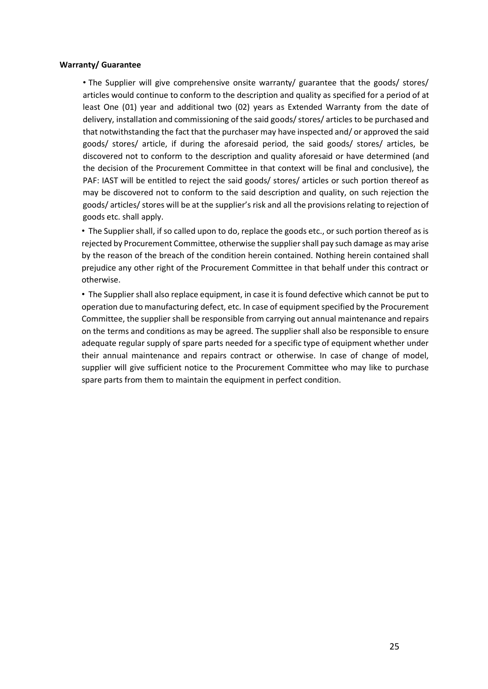#### Warranty/ Guarantee

• The Supplier will give comprehensive onsite warranty/ guarantee that the goods/ stores/ articles would continue to conform to the description and quality as specified for a period of at least One (01) year and additional two (02) years as Extended Warranty from the date of delivery, installation and commissioning of the said goods/ stores/ articles to be purchased and that notwithstanding the fact that the purchaser may have inspected and/ or approved the said goods/ stores/ article, if during the aforesaid period, the said goods/ stores/ articles, be discovered not to conform to the description and quality aforesaid or have determined (and the decision of the Procurement Committee in that context will be final and conclusive), the PAF: IAST will be entitled to reject the said goods/ stores/ articles or such portion thereof as may be discovered not to conform to the said description and quality, on such rejection the goods/ articles/ stores will be at the supplier's risk and all the provisions relating to rejection of goods etc. shall apply.

• The Supplier shall, if so called upon to do, replace the goods etc., or such portion thereof as is rejected by Procurement Committee, otherwise the supplier shall pay such damage as may arise by the reason of the breach of the condition herein contained. Nothing herein contained shall prejudice any other right of the Procurement Committee in that behalf under this contract or otherwise.

• The Supplier shall also replace equipment, in case it is found defective which cannot be put to operation due to manufacturing defect, etc. In case of equipment specified by the Procurement Committee, the supplier shall be responsible from carrying out annual maintenance and repairs on the terms and conditions as may be agreed. The supplier shall also be responsible to ensure adequate regular supply of spare parts needed for a specific type of equipment whether under their annual maintenance and repairs contract or otherwise. In case of change of model, supplier will give sufficient notice to the Procurement Committee who may like to purchase spare parts from them to maintain the equipment in perfect condition.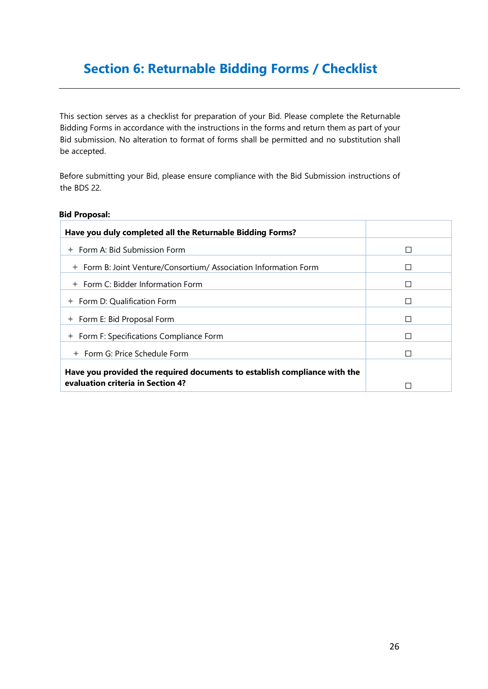## Section 6: Returnable Bidding Forms / Checklist

This section serves as a checklist for preparation of your Bid. Please complete the Returnable Bidding Forms in accordance with the instructions in the forms and return them as part of your Bid submission. No alteration to format of forms shall be permitted and no substitution shall be accepted.

Before submitting your Bid, please ensure compliance with the Bid Submission instructions of the BDS 22.

#### Bid Proposal:

| Have you duly completed all the Returnable Bidding Forms?                 |         |
|---------------------------------------------------------------------------|---------|
| $+$ Form A: Bid Submission Form                                           | П       |
| ← Form B: Joint Venture/Consortium/ Association Information Form          |         |
| $+$ Form C: Bidder Information Form                                       | П       |
| $+$ Form D: Qualification Form                                            | П       |
| ← Form E: Bid Proposal Form                                               | $\perp$ |
| $+$ Form F: Specifications Compliance Form                                | П       |
| $+$ Form G: Price Schedule Form                                           |         |
| Have you provided the required documents to establish compliance with the |         |
| evaluation criteria in Section 4?                                         |         |

.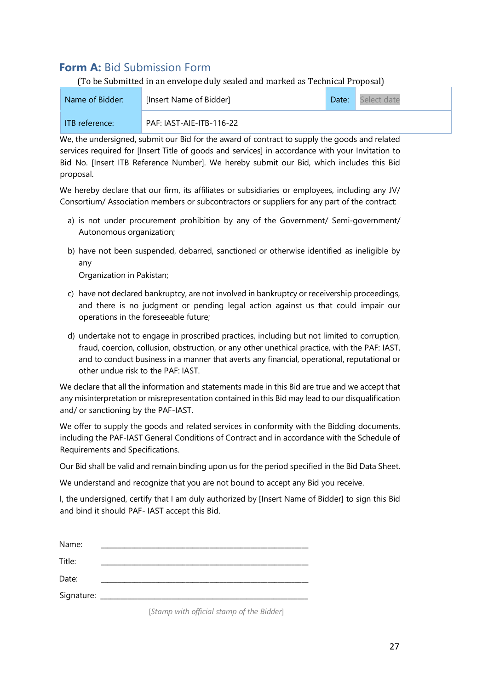## Form A: Bid Submission Form

(To be Submitted in an envelope duly sealed and marked as Technical Proposal)

| Name of Bidder: | [Insert Name of Bidder]  |  | Select date |
|-----------------|--------------------------|--|-------------|
| ITB reference:  | PAF: IAST-AIE-ITB-116-22 |  |             |

We, the undersigned, submit our Bid for the award of contract to supply the goods and related services required for [Insert Title of goods and services] in accordance with your Invitation to Bid No. [Insert ITB Reference Number]. We hereby submit our Bid, which includes this Bid proposal.

We hereby declare that our firm, its affiliates or subsidiaries or employees, including any JV/ Consortium/ Association members or subcontractors or suppliers for any part of the contract:

- a) is not under procurement prohibition by any of the Government/ Semi-government/ Autonomous organization;
- b) have not been suspended, debarred, sanctioned or otherwise identified as ineligible by any

Organization in Pakistan;

- c) have not declared bankruptcy, are not involved in bankruptcy or receivership proceedings, and there is no judgment or pending legal action against us that could impair our operations in the foreseeable future;
- d) undertake not to engage in proscribed practices, including but not limited to corruption, fraud, coercion, collusion, obstruction, or any other unethical practice, with the PAF: IAST, and to conduct business in a manner that averts any financial, operational, reputational or other undue risk to the PAF: IAST.

We declare that all the information and statements made in this Bid are true and we accept that any misinterpretation or misrepresentation contained in this Bid may lead to our disqualification and/ or sanctioning by the PAF-IAST.

We offer to supply the goods and related services in conformity with the Bidding documents, including the PAF-IAST General Conditions of Contract and in accordance with the Schedule of Requirements and Specifications.

Our Bid shall be valid and remain binding upon us for the period specified in the Bid Data Sheet.

We understand and recognize that you are not bound to accept any Bid you receive.

I, the undersigned, certify that I am duly authorized by [Insert Name of Bidder] to sign this Bid and bind it should PAF- IAST accept this Bid.

| Name:      |  |
|------------|--|
| Title:     |  |
| Date:      |  |
| Signature: |  |

[*Stamp with official stamp of the Bidder*]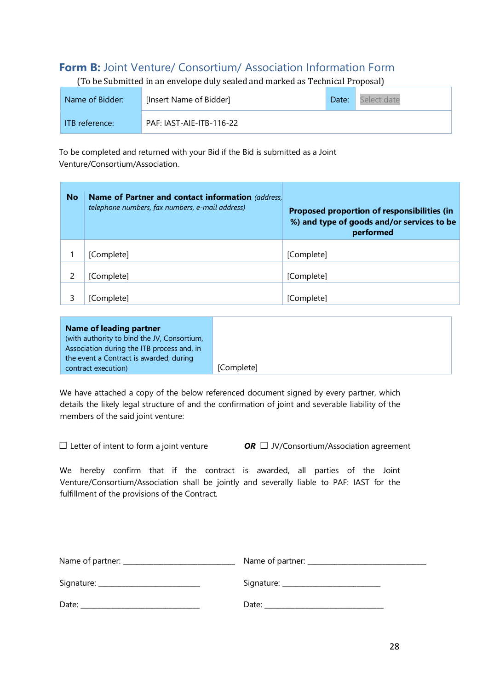## **Form B:** Joint Venture/ Consortium/ Association Information Form

(To be Submitted in an envelope duly sealed and marked as Technical Proposal)

| Name of Bidder: | [Insert Name of Bidder]  |  | Select date |
|-----------------|--------------------------|--|-------------|
| ITB reference:  | PAF: IAST-AIE-ITB-116-22 |  |             |

To be completed and returned with your Bid if the Bid is submitted as a Joint Venture/Consortium/Association.

| <b>No</b> | Name of Partner and contact information (address,<br>telephone numbers, fax numbers, e-mail address) | Proposed proportion of responsibilities (in<br>%) and type of goods and/or services to be<br>performed |
|-----------|------------------------------------------------------------------------------------------------------|--------------------------------------------------------------------------------------------------------|
|           |                                                                                                      |                                                                                                        |
|           | [Complete]                                                                                           | [Complete]                                                                                             |
|           |                                                                                                      |                                                                                                        |
| 2         | [Complete]                                                                                           | [Complete]                                                                                             |
| 3         | [Complete]                                                                                           | [Complete]                                                                                             |

| Name of leading partner                     |            |
|---------------------------------------------|------------|
| (with authority to bind the JV, Consortium, |            |
| Association during the ITB process and, in  |            |
| the event a Contract is awarded, during     |            |
| contract execution)                         | [Complete] |

We have attached a copy of the below referenced document signed by every partner, which details the likely legal structure of and the confirmation of joint and severable liability of the members of the said joint venture:

☐ Letter of intent to form a joint venture *OR* ☐ JV/Consortium/Association agreement

We hereby confirm that if the contract is awarded, all parties of the Joint Venture/Consortium/Association shall be jointly and severally liable to PAF: IAST for the fulfillment of the provisions of the Contract.

| Date: | Date: the contract of the contract of the contract of the contract of the contract of the contract of the contract of the contract of the contract of the contract of the contract of the contract of the contract of the cont |
|-------|--------------------------------------------------------------------------------------------------------------------------------------------------------------------------------------------------------------------------------|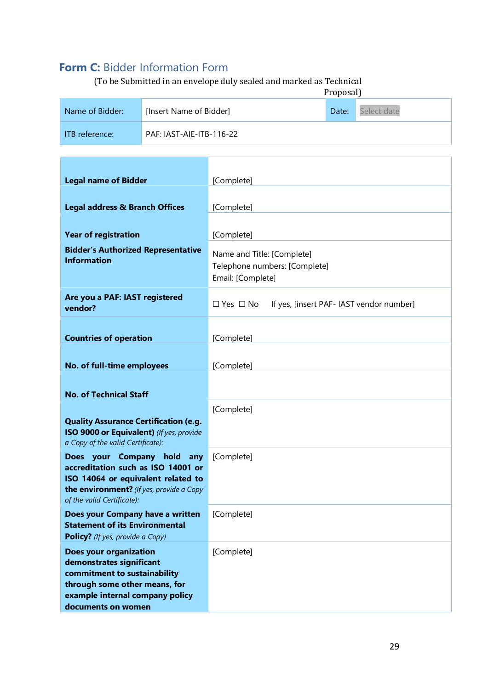## Form C: Bidder Information Form

(To be Submitted in an envelope duly sealed and marked as Technical

|                 | Proposal)                |       |             |
|-----------------|--------------------------|-------|-------------|
| Name of Bidder: | [Insert Name of Bidder]  | Date: | Select date |
| ITB reference:  | PAF: IAST-AIE-ITB-116-22 |       |             |

| <b>Legal name of Bidder</b>                                                                                                                                                         | [Complete]                                                                       |  |  |
|-------------------------------------------------------------------------------------------------------------------------------------------------------------------------------------|----------------------------------------------------------------------------------|--|--|
| <b>Legal address &amp; Branch Offices</b>                                                                                                                                           | [Complete]                                                                       |  |  |
| <b>Year of registration</b>                                                                                                                                                         | [Complete]                                                                       |  |  |
| <b>Bidder's Authorized Representative</b><br><b>Information</b>                                                                                                                     | Name and Title: [Complete]<br>Telephone numbers: [Complete]<br>Email: [Complete] |  |  |
| Are you a PAF: IAST registered<br>vendor?                                                                                                                                           | $\Box$ Yes $\Box$ No<br>If yes, [insert PAF- IAST vendor number]                 |  |  |
| <b>Countries of operation</b>                                                                                                                                                       | [Complete]                                                                       |  |  |
| No. of full-time employees                                                                                                                                                          | [Complete]                                                                       |  |  |
| <b>No. of Technical Staff</b>                                                                                                                                                       |                                                                                  |  |  |
| <b>Quality Assurance Certification (e.g.</b><br>ISO 9000 or Equivalent) (If yes, provide<br>a Copy of the valid Certificate):                                                       | [Complete]                                                                       |  |  |
| Does your Company hold any<br>accreditation such as ISO 14001 or<br>ISO 14064 or equivalent related to<br>the environment? (If yes, provide a Copy<br>of the valid Certificate):    | [Complete]                                                                       |  |  |
| Does your Company have a written<br><b>Statement of its Environmental</b><br>Policy? (If yes, provide a Copy)                                                                       | [Complete]                                                                       |  |  |
| <b>Does your organization</b><br>demonstrates significant<br>commitment to sustainability<br>through some other means, for<br>example internal company policy<br>documents on women | [Complete]                                                                       |  |  |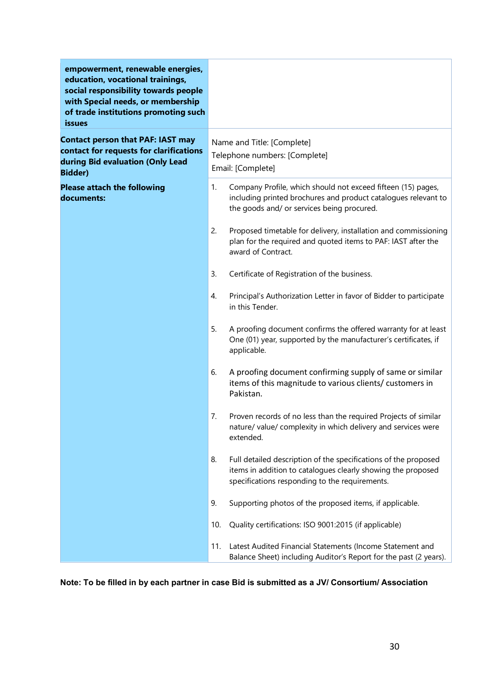| empowerment, renewable energies,<br>education, vocational trainings,<br>social responsibility towards people<br>with Special needs, or membership<br>of trade institutions promoting such<br>issues |                                                                                  |                                                                                                                                                                                   |  |  |
|-----------------------------------------------------------------------------------------------------------------------------------------------------------------------------------------------------|----------------------------------------------------------------------------------|-----------------------------------------------------------------------------------------------------------------------------------------------------------------------------------|--|--|
| <b>Contact person that PAF: IAST may</b><br>contact for requests for clarifications<br>during Bid evaluation (Only Lead<br><b>Bidder)</b>                                                           | Name and Title: [Complete]<br>Telephone numbers: [Complete]<br>Email: [Complete] |                                                                                                                                                                                   |  |  |
| <b>Please attach the following</b><br>documents:                                                                                                                                                    | 1.                                                                               | Company Profile, which should not exceed fifteen (15) pages,<br>including printed brochures and product catalogues relevant to<br>the goods and/ or services being procured.      |  |  |
|                                                                                                                                                                                                     | 2.                                                                               | Proposed timetable for delivery, installation and commissioning<br>plan for the required and quoted items to PAF: IAST after the<br>award of Contract.                            |  |  |
|                                                                                                                                                                                                     | 3.                                                                               | Certificate of Registration of the business.                                                                                                                                      |  |  |
|                                                                                                                                                                                                     | 4.                                                                               | Principal's Authorization Letter in favor of Bidder to participate<br>in this Tender.                                                                                             |  |  |
|                                                                                                                                                                                                     | 5.                                                                               | A proofing document confirms the offered warranty for at least<br>One (01) year, supported by the manufacturer's certificates, if<br>applicable.                                  |  |  |
|                                                                                                                                                                                                     | 6.                                                                               | A proofing document confirming supply of same or similar<br>items of this magnitude to various clients/ customers in<br>Pakistan.                                                 |  |  |
|                                                                                                                                                                                                     | 7.                                                                               | Proven records of no less than the required Projects of similar<br>nature/value/complexity in which delivery and services were<br>extended.                                       |  |  |
|                                                                                                                                                                                                     | 8.                                                                               | Full detailed description of the specifications of the proposed<br>items in addition to catalogues clearly showing the proposed<br>specifications responding to the requirements. |  |  |
|                                                                                                                                                                                                     | 9.                                                                               | Supporting photos of the proposed items, if applicable.                                                                                                                           |  |  |
|                                                                                                                                                                                                     | 10.                                                                              | Quality certifications: ISO 9001:2015 (if applicable)                                                                                                                             |  |  |
|                                                                                                                                                                                                     | 11.                                                                              | Latest Audited Financial Statements (Income Statement and<br>Balance Sheet) including Auditor's Report for the past (2 years).                                                    |  |  |

Note: To be filled in by each partner in case Bid is submitted as a JV/ Consortium/ Association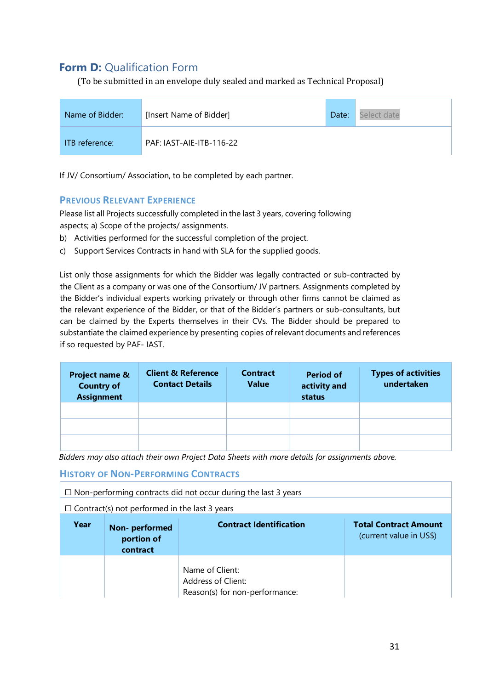## **Form D: Qualification Form**

(To be submitted in an envelope duly sealed and marked as Technical Proposal)



If JV/ Consortium/ Association, to be completed by each partner.

## PREVIOUS RELEVANT EXPERIENCE

Please list all Projects successfully completed in the last 3 years, covering following aspects; a) Scope of the projects/ assignments.

- b) Activities performed for the successful completion of the project.
- c) Support Services Contracts in hand with SLA for the supplied goods.

List only those assignments for which the Bidder was legally contracted or sub-contracted by the Client as a company or was one of the Consortium/ JV partners. Assignments completed by the Bidder's individual experts working privately or through other firms cannot be claimed as the relevant experience of the Bidder, or that of the Bidder's partners or sub-consultants, but can be claimed by the Experts themselves in their CVs. The Bidder should be prepared to substantiate the claimed experience by presenting copies of relevant documents and references if so requested by PAF- IAST.

| Project name &<br><b>Country of</b><br><b>Assignment</b> | <b>Client &amp; Reference</b><br><b>Contact Details</b> | <b>Contract</b><br><b>Value</b> | <b>Period of</b><br>activity and<br>status | <b>Types of activities</b><br>undertaken |
|----------------------------------------------------------|---------------------------------------------------------|---------------------------------|--------------------------------------------|------------------------------------------|
|                                                          |                                                         |                                 |                                            |                                          |
|                                                          |                                                         |                                 |                                            |                                          |
|                                                          |                                                         |                                 |                                            |                                          |

*Bidders may also attach their own Project Data Sheets with more details for assignments above.* 

## HISTORY OF NON-PERFORMING CONTRACTS

| $\Box$ Non-performing contracts did not occur during the last 3 years              |                                                      |                                                                         |  |  |
|------------------------------------------------------------------------------------|------------------------------------------------------|-------------------------------------------------------------------------|--|--|
|                                                                                    | $\Box$ Contract(s) not performed in the last 3 years |                                                                         |  |  |
| <b>Contract Identification</b><br>Year<br>Non- performed<br>portion of<br>contract |                                                      | <b>Total Contract Amount</b><br>(current value in US\$)                 |  |  |
|                                                                                    |                                                      | Name of Client:<br>Address of Client:<br>Reason(s) for non-performance: |  |  |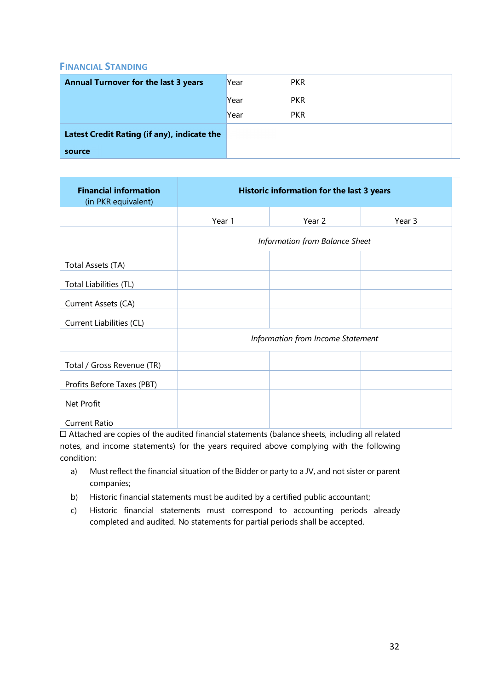## FINANCIAL STANDING

| <b>Annual Turnover for the last 3 years</b> | Year | <b>PKR</b> |
|---------------------------------------------|------|------------|
|                                             | Year | <b>PKR</b> |
|                                             | Year | <b>PKR</b> |
| Latest Credit Rating (if any), indicate the |      |            |
| source                                      |      |            |

| <b>Financial information</b><br>(in PKR equivalent) | Historic information for the last 3 years |                                   |        |  |
|-----------------------------------------------------|-------------------------------------------|-----------------------------------|--------|--|
|                                                     | Year 1                                    | Year 2                            | Year 3 |  |
|                                                     |                                           | Information from Balance Sheet    |        |  |
| Total Assets (TA)                                   |                                           |                                   |        |  |
| Total Liabilities (TL)                              |                                           |                                   |        |  |
| Current Assets (CA)                                 |                                           |                                   |        |  |
| Current Liabilities (CL)                            |                                           |                                   |        |  |
|                                                     |                                           | Information from Income Statement |        |  |
| Total / Gross Revenue (TR)                          |                                           |                                   |        |  |
| Profits Before Taxes (PBT)                          |                                           |                                   |        |  |
| Net Profit                                          |                                           |                                   |        |  |
| <b>Current Ratio</b>                                |                                           |                                   |        |  |

☐ Attached are copies of the audited financial statements (balance sheets, including all related notes, and income statements) for the years required above complying with the following condition:

- a) Must reflect the financial situation of the Bidder or party to a JV, and not sister or parent companies;
- b) Historic financial statements must be audited by a certified public accountant;
- c) Historic financial statements must correspond to accounting periods already completed and audited. No statements for partial periods shall be accepted.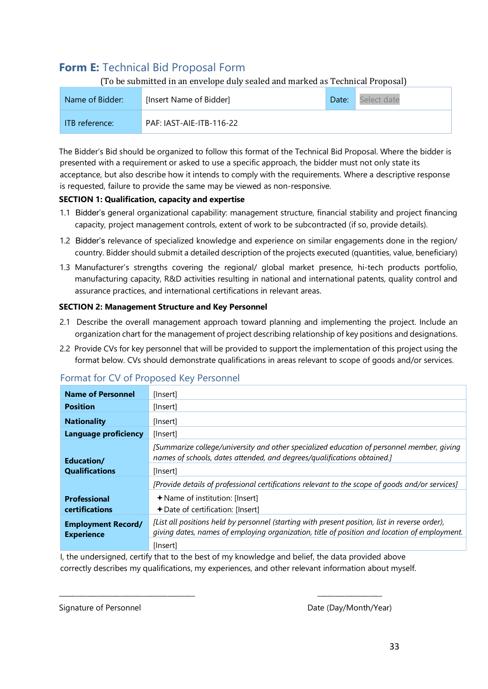## **Form E: Technical Bid Proposal Form**

(To be submitted in an envelope duly sealed and marked as Technical Proposal)

| Name of Bidder:       | [Insert Name of Bidder]  | Date: | Select date |
|-----------------------|--------------------------|-------|-------------|
| <b>ITB</b> reference: | PAF: IAST-AIE-ITB-116-22 |       |             |

The Bidder's Bid should be organized to follow this format of the Technical Bid Proposal. Where the bidder is presented with a requirement or asked to use a specific approach, the bidder must not only state its acceptance, but also describe how it intends to comply with the requirements. Where a descriptive response is requested, failure to provide the same may be viewed as non-responsive.

## SECTION 1: Qualification, capacity and expertise

- 1.1 Bidder's general organizational capability: management structure, financial stability and project financing capacity, project management controls, extent of work to be subcontracted (if so, provide details).
- 1.2 Bidder's relevance of specialized knowledge and experience on similar engagements done in the region/ country. Bidder should submit a detailed description of the projects executed (quantities, value, beneficiary)
- 1.3 Manufacturer's strengths covering the regional/ global market presence, hi-tech products portfolio, manufacturing capacity, R&D activities resulting in national and international patents, quality control and assurance practices, and international certifications in relevant areas.

#### SECTION 2: Management Structure and Key Personnel

- 2.1 Describe the overall management approach toward planning and implementing the project. Include an organization chart for the management of project describing relationship of key positions and designations.
- 2.2 Provide CVs for key personnel that will be provided to support the implementation of this project using the format below. CVs should demonstrate qualifications in areas relevant to scope of goods and/or services.

| <b>Name of Personnel</b>                       | [Insert]                                                                                                                                                                                       |
|------------------------------------------------|------------------------------------------------------------------------------------------------------------------------------------------------------------------------------------------------|
| <b>Position</b>                                | [Insert]                                                                                                                                                                                       |
| <b>Nationality</b>                             | [Insert]                                                                                                                                                                                       |
| Language proficiency                           | [Insert]                                                                                                                                                                                       |
| Education/                                     | [Summarize college/university and other specialized education of personnel member, giving<br>names of schools, dates attended, and degrees/qualifications obtained.]                           |
| <b>Qualifications</b>                          | [Insert]                                                                                                                                                                                       |
|                                                | [Provide details of professional certifications relevant to the scope of goods and/or services]                                                                                                |
| <b>Professional</b>                            | $\bigstar$ Name of institution: [Insert]                                                                                                                                                       |
| certifications                                 | + Date of certification: [Insert]                                                                                                                                                              |
| <b>Employment Record/</b><br><b>Experience</b> | [List all positions held by personnel (starting with present position, list in reverse order),<br>giving dates, names of employing organization, title of position and location of employment. |
|                                                | [Insert]                                                                                                                                                                                       |

## Format for CV of Proposed Key Personnel

I, the undersigned, certify that to the best of my knowledge and belief, the data provided above correctly describes my qualifications, my experiences, and other relevant information about myself.

\_\_\_\_\_\_\_\_\_\_\_\_\_\_\_\_\_\_\_\_\_\_\_\_\_\_\_\_\_\_\_\_\_\_\_\_\_\_\_\_ \_\_\_\_\_\_\_\_\_\_\_\_\_\_\_\_\_\_\_

Signature of Personnel and Date (Day/Month/Year)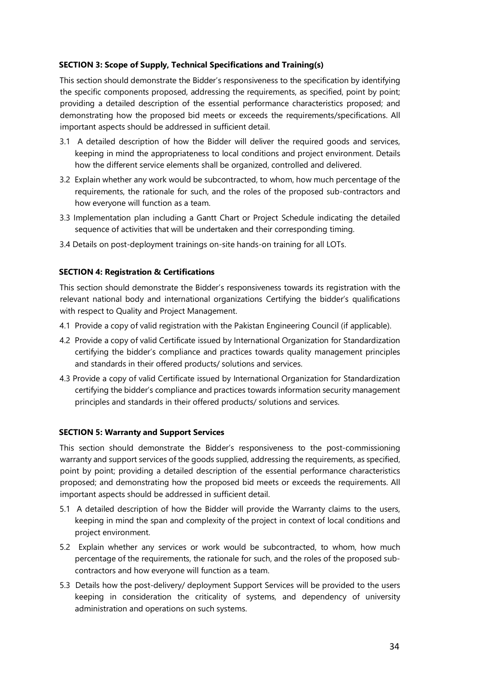#### SECTION 3: Scope of Supply, Technical Specifications and Training(s)

This section should demonstrate the Bidder's responsiveness to the specification by identifying the specific components proposed, addressing the requirements, as specified, point by point; providing a detailed description of the essential performance characteristics proposed; and demonstrating how the proposed bid meets or exceeds the requirements/specifications. All important aspects should be addressed in sufficient detail.

- 3.1 A detailed description of how the Bidder will deliver the required goods and services, keeping in mind the appropriateness to local conditions and project environment. Details how the different service elements shall be organized, controlled and delivered.
- 3.2 Explain whether any work would be subcontracted, to whom, how much percentage of the requirements, the rationale for such, and the roles of the proposed sub-contractors and how everyone will function as a team.
- 3.3 Implementation plan including a Gantt Chart or Project Schedule indicating the detailed sequence of activities that will be undertaken and their corresponding timing.
- 3.4 Details on post-deployment trainings on-site hands-on training for all LOTs.

#### SECTION 4: Registration & Certifications

This section should demonstrate the Bidder's responsiveness towards its registration with the relevant national body and international organizations Certifying the bidder's qualifications with respect to Quality and Project Management.

- 4.1 Provide a copy of valid registration with the Pakistan Engineering Council (if applicable).
- 4.2 Provide a copy of valid Certificate issued by International Organization for Standardization certifying the bidder's compliance and practices towards quality management principles and standards in their offered products/ solutions and services.
- 4.3 Provide a copy of valid Certificate issued by International Organization for Standardization certifying the bidder's compliance and practices towards information security management principles and standards in their offered products/ solutions and services.

#### SECTION 5: Warranty and Support Services

This section should demonstrate the Bidder's responsiveness to the post-commissioning warranty and support services of the goods supplied, addressing the requirements, as specified, point by point; providing a detailed description of the essential performance characteristics proposed; and demonstrating how the proposed bid meets or exceeds the requirements. All important aspects should be addressed in sufficient detail.

- 5.1 A detailed description of how the Bidder will provide the Warranty claims to the users, keeping in mind the span and complexity of the project in context of local conditions and project environment.
- 5.2 Explain whether any services or work would be subcontracted, to whom, how much percentage of the requirements, the rationale for such, and the roles of the proposed subcontractors and how everyone will function as a team.
- 5.3 Details how the post-delivery/ deployment Support Services will be provided to the users keeping in consideration the criticality of systems, and dependency of university administration and operations on such systems.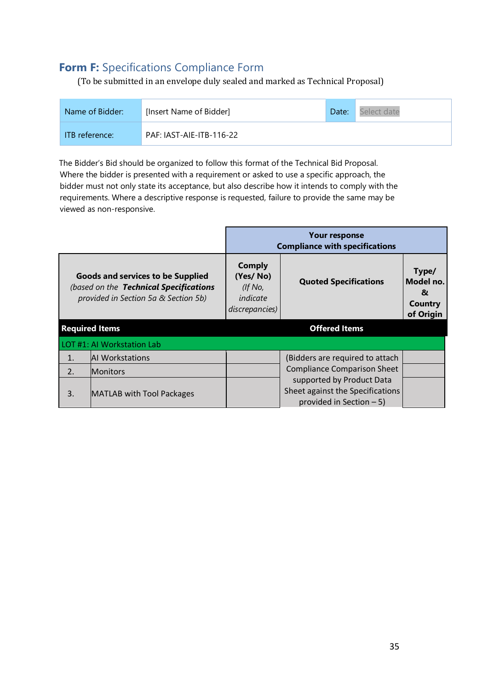## Form F: Specifications Compliance Form

(To be submitted in an envelope duly sealed and marked as Technical Proposal)

| Name of Bidder: | [Insert Name of Bidder]  | Date: | Select date |
|-----------------|--------------------------|-------|-------------|
| ITB reference:  | PAF: IAST-AIE-ITB-116-22 |       |             |

The Bidder's Bid should be organized to follow this format of the Technical Bid Proposal. Where the bidder is presented with a requirement or asked to use a specific approach, the bidder must not only state its acceptance, but also describe how it intends to comply with the requirements. Where a descriptive response is requested, failure to provide the same may be viewed as non-responsive.

|                  |                                                                                                                            |                                                                    | Your response<br><b>Compliance with specifications</b>                                      |                                                 |
|------------------|----------------------------------------------------------------------------------------------------------------------------|--------------------------------------------------------------------|---------------------------------------------------------------------------------------------|-------------------------------------------------|
|                  | <b>Goods and services to be Supplied</b><br>(based on the Technical Specifications<br>provided in Section 5a & Section 5b) | <b>Comply</b><br>(Yes/No)<br>(If No,<br>indicate<br>discrepancies) | <b>Quoted Specifications</b>                                                                | Type/<br>Model no.<br>&<br>Country<br>of Origin |
|                  | <b>Required Items</b>                                                                                                      |                                                                    | <b>Offered Items</b>                                                                        |                                                 |
|                  | LOT #1: AI Workstation Lab                                                                                                 |                                                                    |                                                                                             |                                                 |
| $\mathbf{1}$ .   | <b>AI Workstations</b>                                                                                                     |                                                                    | (Bidders are required to attach                                                             |                                                 |
| $\overline{2}$ . | <b>Monitors</b>                                                                                                            |                                                                    | <b>Compliance Comparison Sheet</b>                                                          |                                                 |
| 3.               | MATLAB with Tool Packages                                                                                                  |                                                                    | supported by Product Data<br>Sheet against the Specifications<br>provided in Section $-5$ ) |                                                 |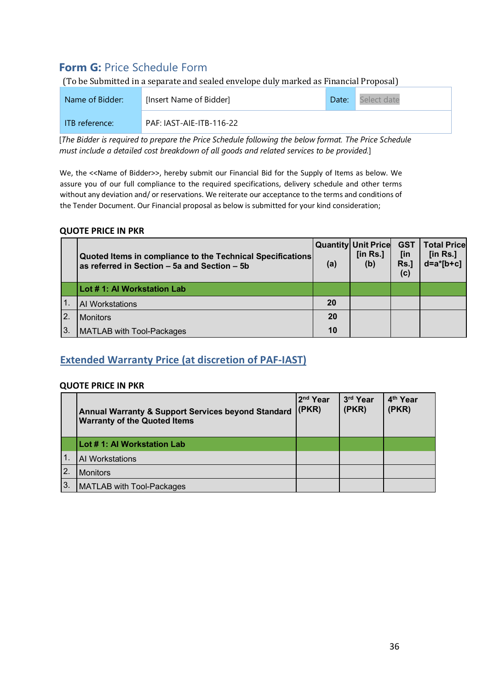## Form G: Price Schedule Form

(To be Submitted in a separate and sealed envelope duly marked as Financial Proposal)

| Name of Bidder: | [Insert Name of Bidder]  | Date: | Select date |
|-----------------|--------------------------|-------|-------------|
| ITB reference:  | PAF: IAST-AIE-ITB-116-22 |       |             |

[*The Bidder is required to prepare the Price Schedule following the below format. The Price Schedule must include a detailed cost breakdown of all goods and related services to be provided.*]

We, the <<Name of Bidder>>, hereby submit our Financial Bid for the Supply of Items as below. We assure you of our full compliance to the required specifications, delivery schedule and other terms without any deviation and/ or reservations. We reiterate our acceptance to the terms and conditions of the Tender Document. Our Financial proposal as below is submitted for your kind consideration;

#### QUOTE PRICE IN PKR

|                  | Quoted Items in compliance to the Technical Specifications<br>as referred in Section - 5a and Section - 5b | (a) | <b>Quantity Unit Price</b><br>[in $Rs.$ ]<br>(b) | <b>GST</b><br>[in<br>Rs.<br>(c) | <b>Total Price</b><br>[in $Rs.$ ]<br>$d=a*[b+c]$ |
|------------------|------------------------------------------------------------------------------------------------------------|-----|--------------------------------------------------|---------------------------------|--------------------------------------------------|
|                  | Lot # 1: Al Workstation Lab                                                                                |     |                                                  |                                 |                                                  |
|                  | Al Workstations                                                                                            | 20  |                                                  |                                 |                                                  |
| $\overline{2}$ . | <b>Monitors</b>                                                                                            | 20  |                                                  |                                 |                                                  |
| IЗ.              | <b>MATLAB with Tool-Packages</b>                                                                           | 10  |                                                  |                                 |                                                  |

## Extended Warranty Price (at discretion of PAF-IAST)

#### QUOTE PRICE IN PKR

|    | <b>Annual Warranty &amp; Support Services beyond Standard</b><br><b>Warranty of the Quoted Items</b> | 2 <sup>nd</sup> Year<br>(PKR) | 3rd Year<br>(PKR) | 4 <sup>th</sup> Year<br>(PKR) |
|----|------------------------------------------------------------------------------------------------------|-------------------------------|-------------------|-------------------------------|
|    | Lot # 1: Al Workstation Lab                                                                          |                               |                   |                               |
|    | AI Workstations                                                                                      |                               |                   |                               |
| 2. | <b>Monitors</b>                                                                                      |                               |                   |                               |
| 3. | <b>MATLAB with Tool-Packages</b>                                                                     |                               |                   |                               |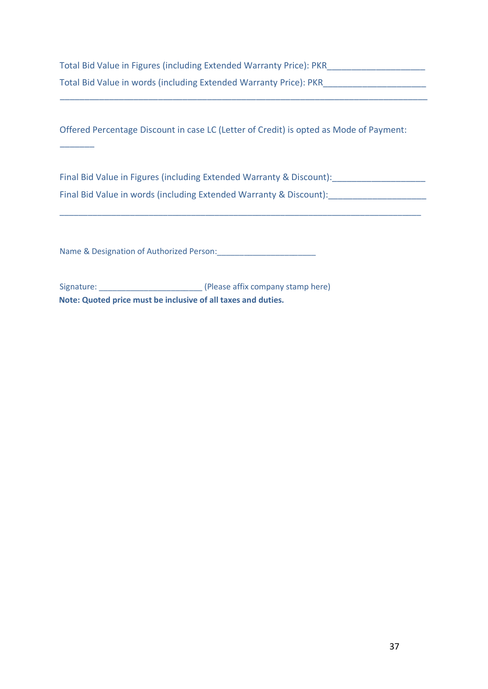Total Bid Value in Figures (including Extended Warranty Price): PKR\_\_\_\_\_\_\_\_\_\_\_\_\_\_\_\_\_\_\_\_ Total Bid Value in words (including Extended Warranty Price): PKR\_\_\_\_\_\_\_\_\_\_\_\_\_\_\_\_

\_\_\_\_\_\_\_\_\_\_\_\_\_\_\_\_\_\_\_\_\_\_\_\_\_\_\_\_\_\_\_\_\_\_\_\_\_\_\_\_\_\_\_\_\_\_\_\_\_\_\_\_\_\_\_\_\_\_\_\_\_\_\_\_\_\_\_\_\_\_\_\_\_\_\_

Offered Percentage Discount in case LC (Letter of Credit) is opted as Mode of Payment:

Final Bid Value in Figures (including Extended Warranty & Discount): \_\_\_\_\_\_\_\_\_\_\_\_ Final Bid Value in words (including Extended Warranty & Discount):

\_\_\_\_\_\_\_\_\_\_\_\_\_\_\_\_\_\_\_\_\_\_\_\_\_\_\_\_\_\_\_\_\_\_\_\_\_\_\_\_\_\_\_\_\_\_\_\_\_\_\_\_\_\_\_\_\_\_\_\_\_\_\_\_\_\_\_\_\_\_\_\_\_\_\_\_\_

Name & Designation of Authorized Person:\_\_\_\_\_\_\_\_\_\_\_\_\_\_\_\_\_\_\_\_\_\_

 $\overline{\phantom{a}}$ 

Signature: \_\_\_\_\_\_\_\_\_\_\_\_\_\_\_\_\_\_\_\_\_\_\_ (Please affix company stamp here) Note: Quoted price must be inclusive of all taxes and duties.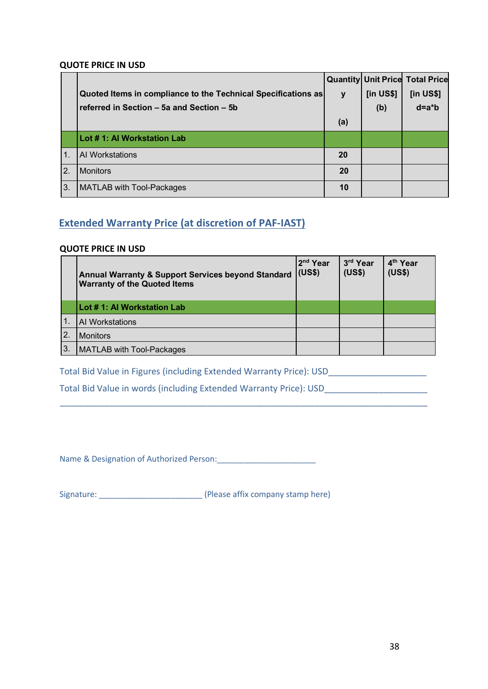#### QUOTE PRICE IN USD

|                  |                                                               |           |                 | <b>Quantity Unit Price Total Price</b> |
|------------------|---------------------------------------------------------------|-----------|-----------------|----------------------------------------|
|                  | Quoted Items in compliance to the Technical Specifications as | y         | $[$ in US\$ $]$ | $[$ in US\$ $]$                        |
|                  | referred in Section - 5a and Section - 5b                     |           | (b)             | $d=a*b$                                |
|                  |                                                               | (a)       |                 |                                        |
|                  | Lot # 1: Al Workstation Lab                                   |           |                 |                                        |
| $\overline{1}$ . | AI Workstations                                               | <b>20</b> |                 |                                        |
| <sup>2.</sup>    | <b>Monitors</b>                                               | 20        |                 |                                        |
| IЗ.              | <b>MATLAB with Tool-Packages</b>                              | 10        |                 |                                        |

## Extended Warranty Price (at discretion of PAF-IAST)

#### QUOTE PRICE IN USD

|    | <b>Annual Warranty &amp; Support Services beyond Standard</b><br><b>Warranty of the Quoted Items</b> | 2 <sup>nd</sup> Year<br>(US\$) | 3rd Year<br>(US\$) | 4 <sup>th</sup> Year<br>(US\$) |
|----|------------------------------------------------------------------------------------------------------|--------------------------------|--------------------|--------------------------------|
|    | Lot # 1: Al Workstation Lab                                                                          |                                |                    |                                |
|    | AI Workstations                                                                                      |                                |                    |                                |
| 2. | <b>Monitors</b>                                                                                      |                                |                    |                                |
| 3. | <b>MATLAB with Tool-Packages</b>                                                                     |                                |                    |                                |

\_\_\_\_\_\_\_\_\_\_\_\_\_\_\_\_\_\_\_\_\_\_\_\_\_\_\_\_\_\_\_\_\_\_\_\_\_\_\_\_\_\_\_\_\_\_\_\_\_\_\_\_\_\_\_\_\_\_\_\_\_\_\_\_\_\_\_\_\_\_\_\_\_\_\_

Total Bid Value in Figures (including Extended Warranty Price): USD\_\_\_\_\_\_\_\_\_\_\_\_\_\_

Total Bid Value in words (including Extended Warranty Price): USD\_\_\_\_\_\_\_\_\_\_\_\_\_\_\_\_\_\_\_\_\_

Name & Designation of Authorized Person:\_\_\_\_\_\_\_\_\_\_\_\_\_\_\_\_\_\_\_\_\_\_

Signature: \_\_\_\_\_\_\_\_\_\_\_\_\_\_\_\_\_\_\_\_\_\_\_ (Please affix company stamp here)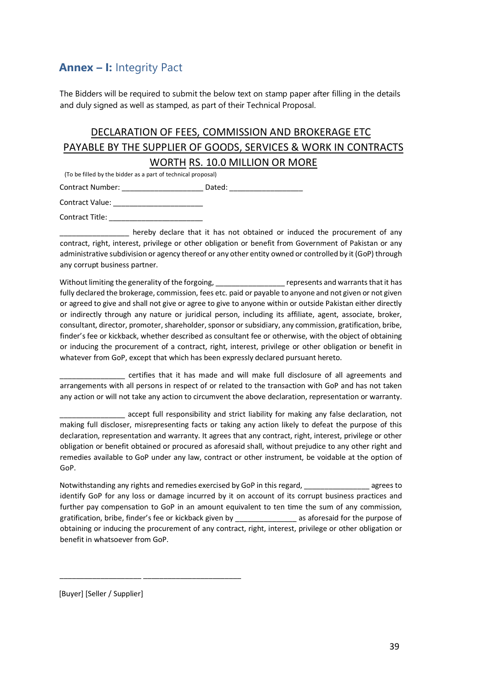## Annex – I: Integrity Pact

The Bidders will be required to submit the below text on stamp paper after filling in the details and duly signed as well as stamped, as part of their Technical Proposal.

## DECLARATION OF FEES, COMMISSION AND BROKERAGE ETC PAYABLE BY THE SUPPLIER OF GOODS, SERVICES & WORK IN CONTRACTS

#### WORTH RS. 10.0 MILLION OR MORE

(To be filled by the bidder as a part of technical proposal)

Contract Number: \_\_\_\_\_\_\_\_\_\_\_\_\_\_\_\_\_\_\_\_\_\_\_\_\_\_ Dated: \_\_\_\_\_\_\_\_\_\_\_\_\_\_\_\_\_\_\_\_\_\_\_\_\_\_\_\_\_

| <b>Contract Value:</b> |  |
|------------------------|--|
|------------------------|--|

Contract Title: \_\_\_\_\_\_\_\_\_\_\_\_\_\_\_\_\_\_\_\_\_\_\_

hereby declare that it has not obtained or induced the procurement of any contract, right, interest, privilege or other obligation or benefit from Government of Pakistan or any administrative subdivision or agency thereof or any other entity owned or controlled by it (GoP) through any corrupt business partner.

Without limiting the generality of the forgoing, entity and many represents and warrants that it has fully declared the brokerage, commission, fees etc. paid or payable to anyone and not given or not given or agreed to give and shall not give or agree to give to anyone within or outside Pakistan either directly or indirectly through any nature or juridical person, including its affiliate, agent, associate, broker, consultant, director, promoter, shareholder, sponsor or subsidiary, any commission, gratification, bribe, finder's fee or kickback, whether described as consultant fee or otherwise, with the object of obtaining or inducing the procurement of a contract, right, interest, privilege or other obligation or benefit in whatever from GoP, except that which has been expressly declared pursuant hereto.

\_\_\_\_\_\_\_\_\_\_\_\_\_\_\_\_ certifies that it has made and will make full disclosure of all agreements and arrangements with all persons in respect of or related to the transaction with GoP and has not taken any action or will not take any action to circumvent the above declaration, representation or warranty.

accept full responsibility and strict liability for making any false declaration, not making full discloser, misrepresenting facts or taking any action likely to defeat the purpose of this declaration, representation and warranty. It agrees that any contract, right, interest, privilege or other obligation or benefit obtained or procured as aforesaid shall, without prejudice to any other right and remedies available to GoP under any law, contract or other instrument, be voidable at the option of GoP.

Notwithstanding any rights and remedies exercised by GoP in this regard, \_\_\_\_\_\_\_\_\_\_\_\_\_\_\_\_\_\_ agrees to identify GoP for any loss or damage incurred by it on account of its corrupt business practices and further pay compensation to GoP in an amount equivalent to ten time the sum of any commission, gratification, bribe, finder's fee or kickback given by example as aforesaid for the purpose of obtaining or inducing the procurement of any contract, right, interest, privilege or other obligation or benefit in whatsoever from GoP.

[Buyer] [Seller / Supplier]

\_\_\_\_\_\_\_\_\_\_\_\_\_\_\_\_\_\_\_\_ \_\_\_\_\_\_\_\_\_\_\_\_\_\_\_\_\_\_\_\_\_\_\_\_